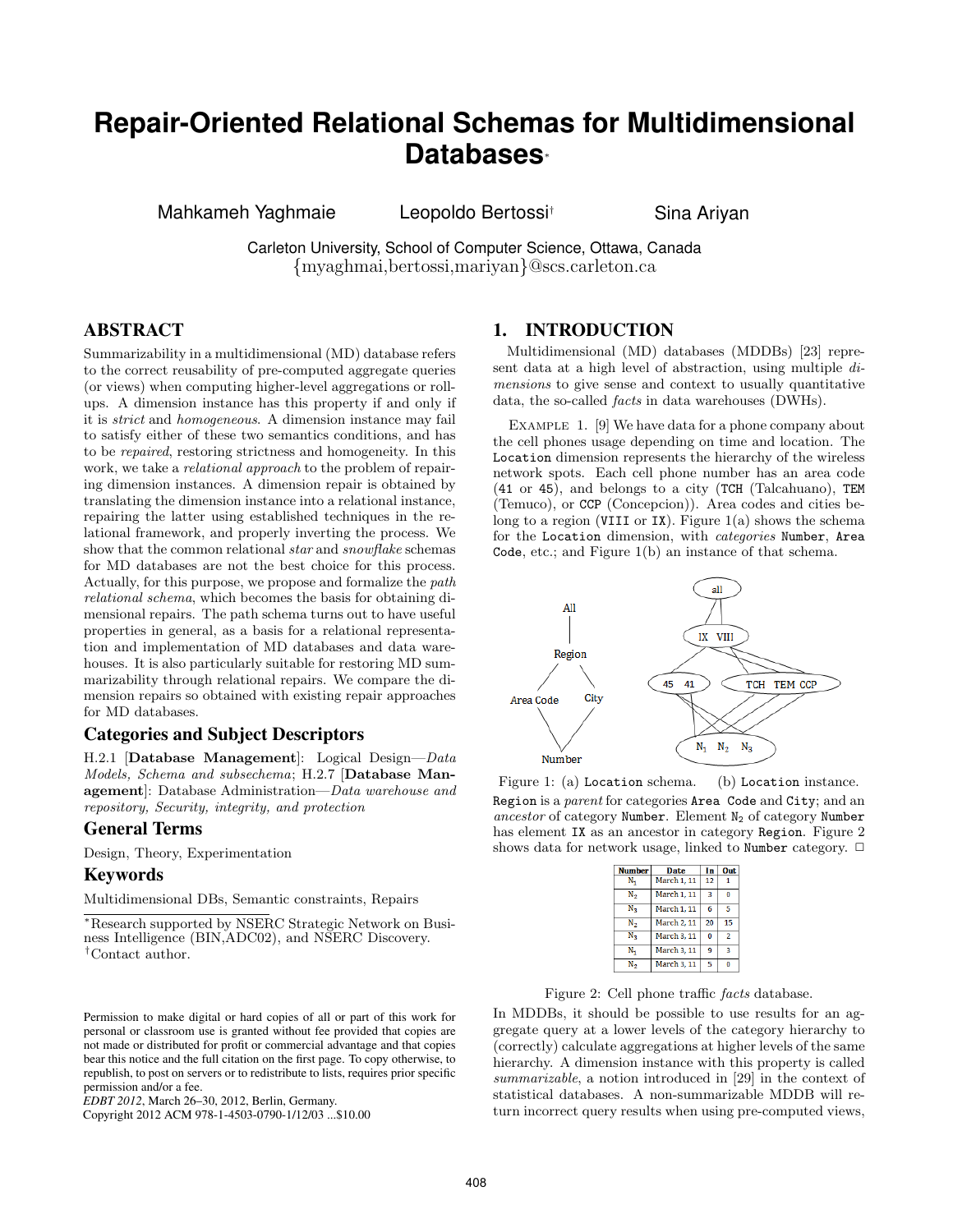# **Repair-Oriented Relational Schemas for Multidimensional Databases***<sup>∗</sup>*

Mahkameh Yaghmaie **Leopoldo Bertossi<sup>†</sup> Sina Ariyan** 

Carleton University, School of Computer Science, Ottawa, Canada *{*myaghmai,bertossi,mariyan*}*@scs.carleton.ca

# ABSTRACT

Summarizability in a multidimensional (MD) database refers to the correct reusability of pre-computed aggregate queries (or views) when computing higher-level aggregations or rollups. A dimension instance has this property if and only if it is *strict* and *homogeneous*. A dimension instance may fail to satisfy either of these two semantics conditions, and has to be *repaired*, restoring strictness and homogeneity. In this work, we take a *relational approach* to the problem of repairing dimension instances. A dimension repair is obtained by translating the dimension instance into a relational instance, repairing the latter using established techniques in the relational framework, and properly inverting the process. We show that the common relational *star* and *snowflake* schemas for MD databases are not the best choice for this process. Actually, for this purpose, we propose and formalize the *path relational schema*, which becomes the basis for obtaining dimensional repairs. The path schema turns out to have useful properties in general, as a basis for a relational representation and implementation of MD databases and data warehouses. It is also particularly suitable for restoring MD summarizability through relational repairs. We compare the dimension repairs so obtained with existing repair approaches for MD databases.

# Categories and Subject Descriptors

H.2.1 [**Database Management**]: Logical Design—*Data Models, Schema and subsechema*; H.2.7 [**Database Management**]: Database Administration—*Data warehouse and repository, Security, integrity, and protection*

# General Terms

Design, Theory, Experimentation

# Keywords

Multidimensional DBs, Semantic constraints, Repairs

*∗*Research supported by NSERC Strategic Network on Business Intelligence (BIN,ADC02), and NSERC Discovery. *†*Contact author.

Copyright 2012 ACM 978-1-4503-0790-1/12/03 ...\$10.00

### 1. INTRODUCTION

Multidimensional (MD) databases (MDDBs) [23] represent data at a high level of abstraction, using multiple *dimensions* to give sense and context to usually quantitative data, the so-called *facts* in data warehouses (DWHs).

Example 1. [9] We have data for a phone company about the cell phones usage depending on time and location. The Location dimension represents the hierarchy of the wireless network spots. Each cell phone number has an area code (41 or 45), and belongs to a city (TCH (Talcahuano), TEM (Temuco), or CCP (Concepcion)). Area codes and cities belong to a region (VIII or IX). Figure  $1(a)$  shows the schema for the Location dimension, with *categories* Number, Area Code, etc.; and Figure 1(b) an instance of that schema.



Figure 1: (a) Location schema. (b) Location instance. Region is a *parent* for categories Area Code and City; and an ancestor of category Number. Element N<sub>2</sub> of category Number has element IX as an ancestor in category Region. Figure 2 shows data for network usage, linked to Number category.  $\Box$ 

| <b>Number</b> | Date        | In           | Out            |
|---------------|-------------|--------------|----------------|
| N.            | March 1, 11 | 12           |                |
| N,            | March 1, 11 | 3            | n              |
| $N_{\rm R}$   | March 1, 11 | 6            | 5              |
| N,            | March 2, 11 | 20           | 15             |
| $N_{\rm R}$   | March 3, 11 | $\mathbf{0}$ | $\mathfrak{p}$ |
| N,            | March 3, 11 | 9            | R              |
| Ν.            | March 3, 11 | 5            |                |

Figure 2: Cell phone traffic *facts* database.

In MDDBs, it should be possible to use results for an aggregate query at a lower levels of the category hierarchy to (correctly) calculate aggregations at higher levels of the same hierarchy. A dimension instance with this property is called *summarizable*, a notion introduced in [29] in the context of statistical databases. A non-summarizable MDDB will return incorrect query results when using pre-computed views,

Permission to make digital or hard copies of all or part of this work for personal or classroom use is granted without fee provided that copies are not made or distributed for profit or commercial advantage and that copies bear this notice and the full citation on the first page. To copy otherwise, to republish, to post on servers or to redistribute to lists, requires prior specific permission and/or a fee.

*EDBT 2012*, March 26–30, 2012, Berlin, Germany.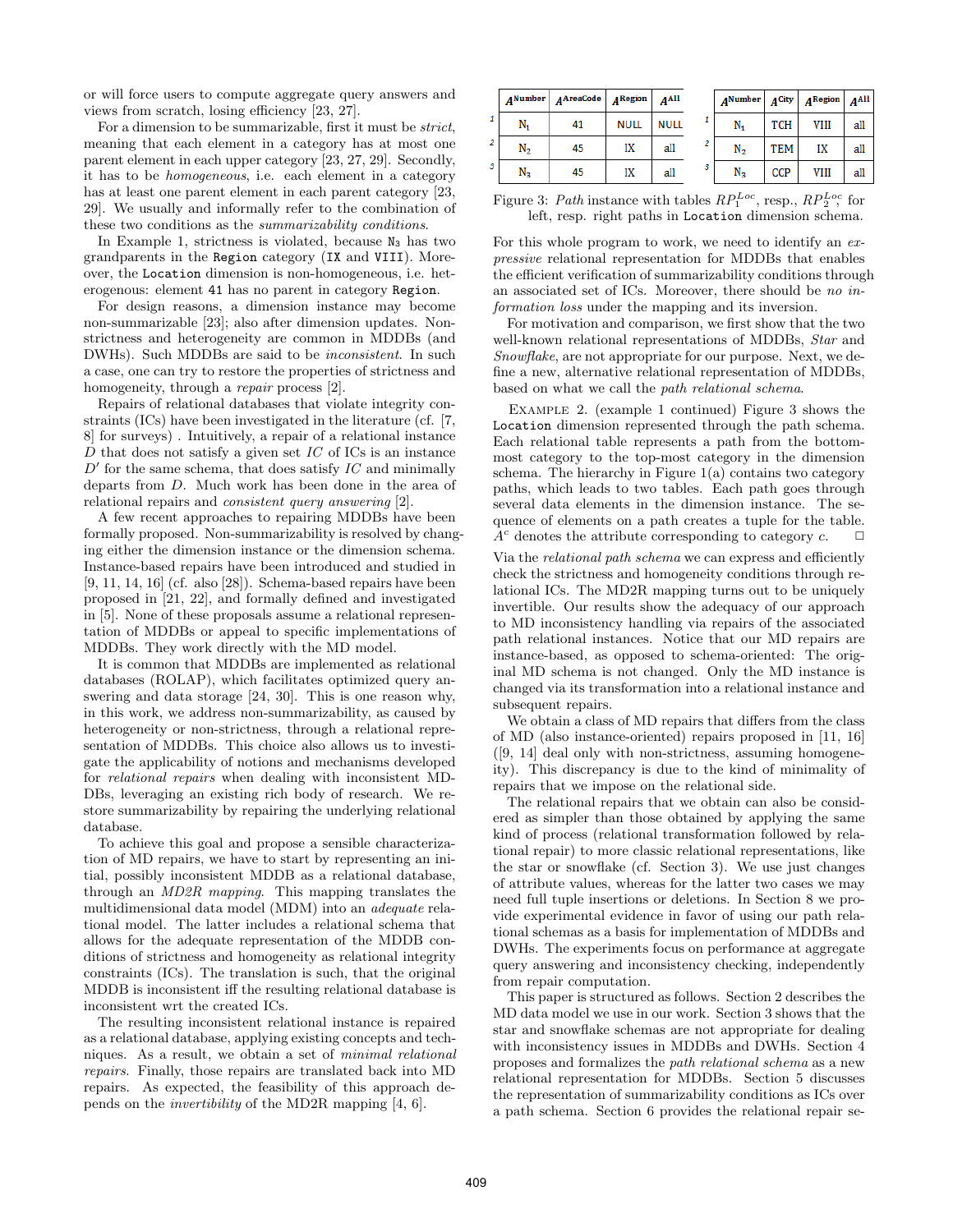or will force users to compute aggregate query answers and views from scratch, losing efficiency [23, 27].

For a dimension to be summarizable, first it must be *strict*, meaning that each element in a category has at most one parent element in each upper category [23, 27, 29]. Secondly, it has to be *homogeneous*, i.e. each element in a category has at least one parent element in each parent category [23, 29]. We usually and informally refer to the combination of these two conditions as the *summarizability conditions*.

In Example 1, strictness is violated, because  $N_3$  has two grandparents in the Region category (IX and VIII). Moreover, the Location dimension is non-homogeneous, i.e. heterogenous: element 41 has no parent in category Region.

For design reasons, a dimension instance may become non-summarizable [23]; also after dimension updates. Nonstrictness and heterogeneity are common in MDDBs (and DWHs). Such MDDBs are said to be *inconsistent*. In such a case, one can try to restore the properties of strictness and homogeneity, through a *repair* process [2].

Repairs of relational databases that violate integrity constraints (ICs) have been investigated in the literature (cf. [7, 8] for surveys) . Intuitively, a repair of a relational instance *D* that does not satisfy a given set *IC* of ICs is an instance *D ′* for the same schema, that does satisfy *IC* and minimally departs from *D*. Much work has been done in the area of relational repairs and *consistent query answering* [2].

A few recent approaches to repairing MDDBs have been formally proposed. Non-summarizability is resolved by changing either the dimension instance or the dimension schema. Instance-based repairs have been introduced and studied in [9, 11, 14, 16] (cf. also [28]). Schema-based repairs have been proposed in [21, 22], and formally defined and investigated in [5]. None of these proposals assume a relational representation of MDDBs or appeal to specific implementations of MDDBs. They work directly with the MD model.

It is common that MDDBs are implemented as relational databases (ROLAP), which facilitates optimized query answering and data storage [24, 30]. This is one reason why, in this work, we address non-summarizability, as caused by heterogeneity or non-strictness, through a relational representation of MDDBs. This choice also allows us to investigate the applicability of notions and mechanisms developed for *relational repairs* when dealing with inconsistent MD-DBs, leveraging an existing rich body of research. We restore summarizability by repairing the underlying relational database.

To achieve this goal and propose a sensible characterization of MD repairs, we have to start by representing an initial, possibly inconsistent MDDB as a relational database, through an *MD2R mapping*. This mapping translates the multidimensional data model (MDM) into an *adequate* relational model. The latter includes a relational schema that allows for the adequate representation of the MDDB conditions of strictness and homogeneity as relational integrity constraints (ICs). The translation is such, that the original MDDB is inconsistent iff the resulting relational database is inconsistent wrt the created ICs.

The resulting inconsistent relational instance is repaired as a relational database, applying existing concepts and techniques. As a result, we obtain a set of *minimal relational repairs*. Finally, those repairs are translated back into MD repairs. As expected, the feasibility of this approach depends on the *invertibility* of the MD2R mapping [4, 6].

|   |                | $ANumber$ $ANumber$ $AN$ areaCode $AN$ $AN$ areaCode |             | A <sub>Al</sub> |   | $ANumber$ $ACity$ |            | $A^{\rm Region}$ $A^{\rm All}$ |     |
|---|----------------|------------------------------------------------------|-------------|-----------------|---|-------------------|------------|--------------------------------|-----|
|   | N,             | 41                                                   | <b>NULL</b> | <b>NULL</b>     |   | N,                | <b>TCH</b> | VIII                           | all |
|   | N <sub>2</sub> | 45                                                   | IX          | all             |   | N,                | TEM        | IX                             | all |
| 3 | $N_{\rm R}$    | 45                                                   | IX          | all             | 3 | $N_{3}$           | <b>CCP</b> | VIII                           | all |

Figure 3: *Path* instance with tables  $RP_1^{Loc}$ , resp.,  $RP_2^{Loc}$ , for left, resp. right paths in Location dimension schema.

For this whole program to work, we need to identify an *expressive* relational representation for MDDBs that enables the efficient verification of summarizability conditions through an associated set of ICs. Moreover, there should be *no information loss* under the mapping and its inversion.

For motivation and comparison, we first show that the two well-known relational representations of MDDBs, *Star* and *Snowflake*, are not appropriate for our purpose. Next, we define a new, alternative relational representation of MDDBs, based on what we call the *path relational schema*.

Example 2. (example 1 continued) Figure 3 shows the Location dimension represented through the path schema. Each relational table represents a path from the bottommost category to the top-most category in the dimension schema. The hierarchy in Figure  $1(a)$  contains two category paths, which leads to two tables. Each path goes through several data elements in the dimension instance. The sequence of elements on a path creates a tuple for the table.  $\overline{A}^c$  denotes the attribute corresponding to category  $c$ .  $\Box$ 

Via the *relational path schema* we can express and efficiently check the strictness and homogeneity conditions through relational ICs. The MD2R mapping turns out to be uniquely invertible. Our results show the adequacy of our approach to MD inconsistency handling via repairs of the associated path relational instances. Notice that our MD repairs are instance-based, as opposed to schema-oriented: The original MD schema is not changed. Only the MD instance is changed via its transformation into a relational instance and subsequent repairs.

We obtain a class of MD repairs that differs from the class of MD (also instance-oriented) repairs proposed in [11, 16] ([9, 14] deal only with non-strictness, assuming homogeneity). This discrepancy is due to the kind of minimality of repairs that we impose on the relational side.

The relational repairs that we obtain can also be considered as simpler than those obtained by applying the same kind of process (relational transformation followed by relational repair) to more classic relational representations, like the star or snowflake (cf. Section 3). We use just changes of attribute values, whereas for the latter two cases we may need full tuple insertions or deletions. In Section 8 we provide experimental evidence in favor of using our path relational schemas as a basis for implementation of MDDBs and DWHs. The experiments focus on performance at aggregate query answering and inconsistency checking, independently from repair computation.

This paper is structured as follows. Section 2 describes the MD data model we use in our work. Section 3 shows that the star and snowflake schemas are not appropriate for dealing with inconsistency issues in MDDBs and DWHs. Section 4 proposes and formalizes the *path relational schema* as a new relational representation for MDDBs. Section 5 discusses the representation of summarizability conditions as ICs over a path schema. Section 6 provides the relational repair se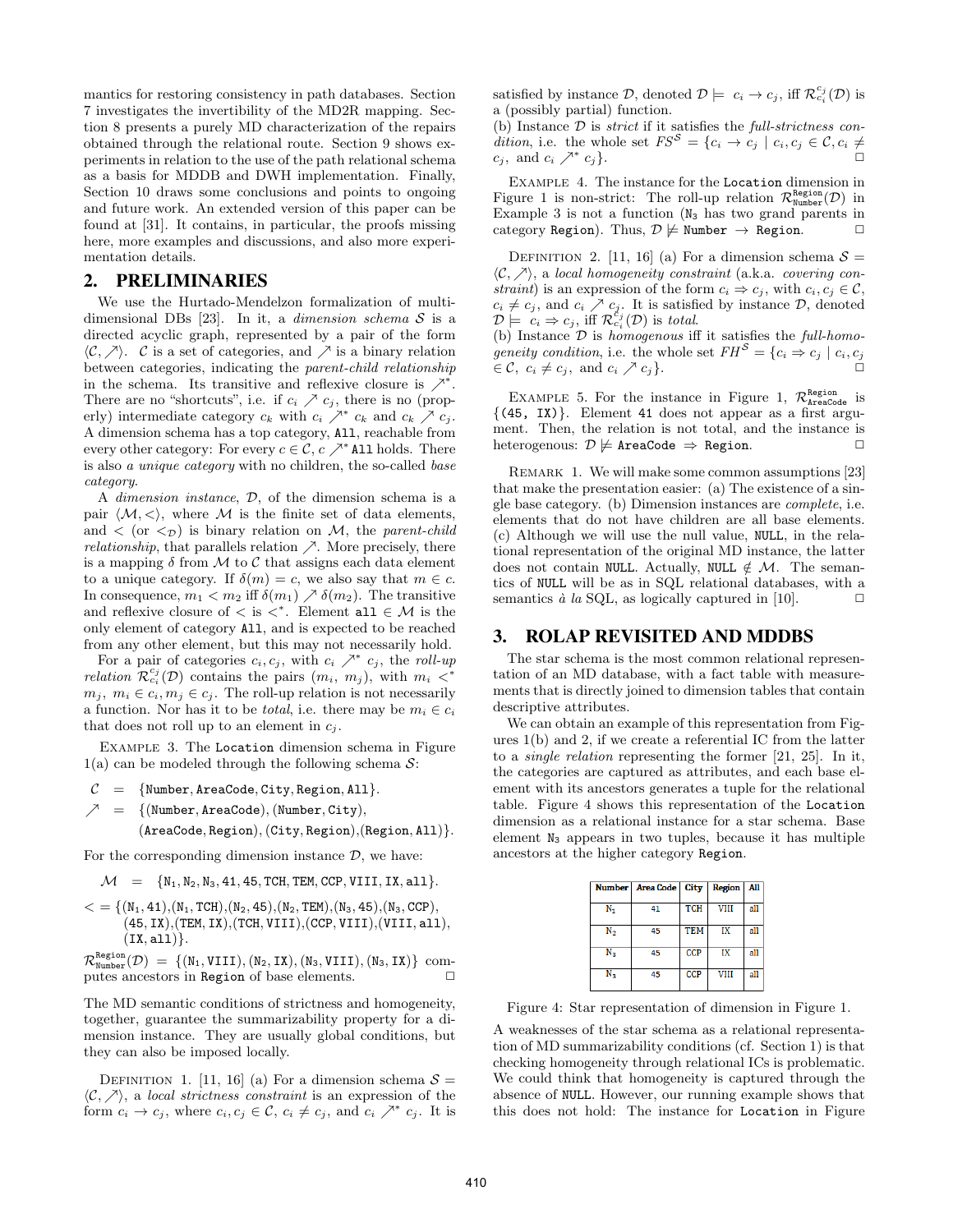mantics for restoring consistency in path databases. Section 7 investigates the invertibility of the MD2R mapping. Section 8 presents a purely MD characterization of the repairs obtained through the relational route. Section 9 shows experiments in relation to the use of the path relational schema as a basis for MDDB and DWH implementation. Finally, Section 10 draws some conclusions and points to ongoing and future work. An extended version of this paper can be found at [31]. It contains, in particular, the proofs missing here, more examples and discussions, and also more experimentation details.

### 2. PRELIMINARIES

We use the Hurtado-Mendelzon formalization of multidimensional DBs [23]. In it, a *dimension schema S* is a directed acyclic graph, represented by a pair of the form  $\langle$ *C,*  $\rangle$ <sup>*γ*</sup>. *C* is a set of categories, and  $\angle$ <sup>*γ*</sup> is a binary relation between categories, indicating the *parent-child relationship* in the schema. Its transitive and reflexive closure is *↗<sup>∗</sup>* . There are no "shortcuts", i.e. if  $c_i \nearrow c_j$ , there is no (properly) intermediate category  $c_k$  with  $c_i \nearrow^* c_k$  and  $c_k \nearrow c_j$ . A dimension schema has a top category, All, reachable from every other category: For every  $c \in \mathcal{C}$ ,  $c \nearrow^*$  All holds. There is also *a unique category* with no children, the so-called *base category*.

A *dimension instance*, *D*, of the dimension schema is a pair  $\langle \mathcal{M}, \langle \rangle$ , where  $\mathcal M$  is the finite set of data elements, and  $\langle$  (or  $\langle \tau \rangle$ ) is binary relation on *M*, the *parent-child relationship*, that parallels relation  $\nearrow$ . More precisely, there is a mapping  $\delta$  from  $\mathcal M$  to  $\mathcal C$  that assigns each data element to a unique category. If  $\delta(m) = c$ , we also say that  $m \in c$ . In consequence,  $m_1 < m_2$  iff  $\delta(m_1) \nearrow \delta(m_2)$ . The transitive and reflexive closure of  $\lt$  is  $\lt^*$ . Element all  $\in \mathcal{M}$  is the only element of category All, and is expected to be reached from any other element, but this may not necessarily hold.

For a pair of categories  $c_i, c_j$ , with  $c_i \nearrow^* c_j$ , the roll-up *relation*  $\mathcal{R}_{c_i}^{c_j}(\mathcal{D})$  contains the pairs  $(m_i, m_j)$ , with  $m_i \leq^*$  $m_j, m_i \in c_i, m_j \in c_j$ . The roll-up relation is not necessarily a function. Nor has it to be *total*, i.e. there may be  $m_i \in c_i$ that does not roll up to an element in  $c_i$ .

Example 3. The Location dimension schema in Figure 1(a) can be modeled through the following schema *S*:

*C* = *{*Number*,* AreaCode*,* City*,* Region*,* All*}. ↗* = *{*(Number*,* AreaCode)*,*(Number*,* City)*,*

(AreaCode*,* Region)*,*(City*,* Region)*,*(Region*,* All)*}.*

For the corresponding dimension instance  $D$ , we have:

 $M = \{N_1, N_2, N_3, 41, 45, TCH, TEM, CCP, VIII, IX, all\}.$ 

 $\mathcal{L} = \{(N_1, 41), (N_1, TCH), (N_2, 45), (N_2, TEM), (N_3, 45), (N_3, CCP)\},$ (45*,* IX)*,*(TEM*,* IX)*,*(TCH*,* VIII)*,*(CCP*,* VIII)*,*(VIII*,* all)*,* (IX*,* all)*}*.

 $\mathcal{R}^{\text{Region}}_{\text{Number}}(\mathcal{D}) = \{(\texttt{N}_1, \texttt{VIII}), (\texttt{N}_2, \texttt{IX}), (\texttt{N}_3, \texttt{VIII}), (\texttt{N}_3, \texttt{IX})\}$ computes ancestors in Region of base elements.  $\Box$ 

The MD semantic conditions of strictness and homogeneity, together, guarantee the summarizability property for a dimension instance. They are usually global conditions, but they can also be imposed locally.

DEFINITION 1. [11, 16] (a) For a dimension schema  $S =$ *⟨C, ↗⟩*, a *local strictness constraint* is an expression of the form  $c_i \rightarrow c_j$ , where  $c_i, c_j \in \mathcal{C}, c_i \neq c_j$ , and  $c_i \nearrow^* c_j$ . It is

satisfied by instance  $\mathcal{D}$ , denoted  $\mathcal{D} \models c_i \rightarrow c_j$ , iff  $\mathcal{R}_{c_i}^{c_j}(\mathcal{D})$  is a (possibly partial) function.

(b) Instance *D* is *strict* if it satisfies the *full-strictness condition*, i.e. the whole set  $FS^S = \{c_i \rightarrow c_j \mid c_i, c_j \in \mathcal{C}, c_i \neq 0\}$  $c_i$ , and  $c_i \nearrow^* c_j$ .  $c_j$ *}*.

Example 4. The instance for the Location dimension in Figure 1 is non-strict: The roll-up relation  $\mathcal{R}^{\text{Region}}_{\text{Number}}(\mathcal{D})$  in Example 3 is not a function  $(N_3)$  has two grand parents in category Region). Thus,  $\mathcal{D} \not\models \text{Number } \rightarrow \text{Region.}$ 

DEFINITION 2. [11, 16] (a) For a dimension schema  $S =$ *⟨C, ↗⟩*, a *local homogeneity constraint* (a.k.a. *covering constraint*) is an expression of the form  $c_i \Rightarrow c_j$ , with  $c_i, c_j \in \mathcal{C}$ ,  $c_i \neq c_j$ , and  $c_i \nearrow c_j$ . It is satisfied by instance *D*, denoted  $\mathcal{D} \models c_i \Rightarrow c_j$ , iff  $\mathcal{R}^{c_j}_{c_i}(\mathcal{D})$  is *total*.

(b) Instance *D* is *homogenous* iff it satisfies the *full-homogeneity condition,* i.e. the whole set  $FH^S = \{c_i \Rightarrow c_j \mid c_i, c_j\}$  $\in \mathcal{C}, \ c_i \neq c_j, \text{ and } c_i \nearrow c_j \}.$ 

EXAMPLE 5. For the instance in Figure 1,  $\mathcal{R}^{\text{Region}}_{\text{AreaCode}}$  is *{*(45, IX)*}*. Element 41 does not appear as a first argument. Then, the relation is not total, and the instance is heterogenous:  $D \not\models$  AreaCode ⇒ Region.

REMARK 1. We will make some common assumptions [23] that make the presentation easier: (a) The existence of a single base category. (b) Dimension instances are *complete*, i.e. elements that do not have children are all base elements. (c) Although we will use the null value, NULL, in the relational representation of the original MD instance, the latter does not contain NULL. Actually, NULL  $\notin \mathcal{M}$ . The semantics of NULL will be as in SQL relational databases, with a semantics  $\dot{a}$  la SQL, as logically captured in [10].  $\Box$ 

### 3. ROLAP REVISITED AND MDDBS

The star schema is the most common relational representation of an MD database, with a fact table with measurements that is directly joined to dimension tables that contain descriptive attributes.

We can obtain an example of this representation from Figures 1(b) and 2, if we create a referential IC from the latter to a *single relation* representing the former [21, 25]. In it, the categories are captured as attributes, and each base element with its ancestors generates a tuple for the relational table. Figure 4 shows this representation of the Location dimension as a relational instance for a star schema. Base element  $N_3$  appears in two tuples, because it has multiple ancestors at the higher category Region.

|                | Number   Area Code   City |            | Region | All |
|----------------|---------------------------|------------|--------|-----|
| N,             | 41                        | <b>TCH</b> | VIII   | all |
| $\mathbf{N}_2$ | 45                        | <b>TEM</b> | IХ     | all |
| $N_{\rm R}$    | 45                        | <b>CCP</b> | IX     | all |
| $N_{3}$        | 45                        | <b>CCP</b> | VIII   | all |

Figure 4: Star representation of dimension in Figure 1.

A weaknesses of the star schema as a relational representation of MD summarizability conditions (cf. Section 1) is that checking homogeneity through relational ICs is problematic. We could think that homogeneity is captured through the absence of NULL. However, our running example shows that this does not hold: The instance for Location in Figure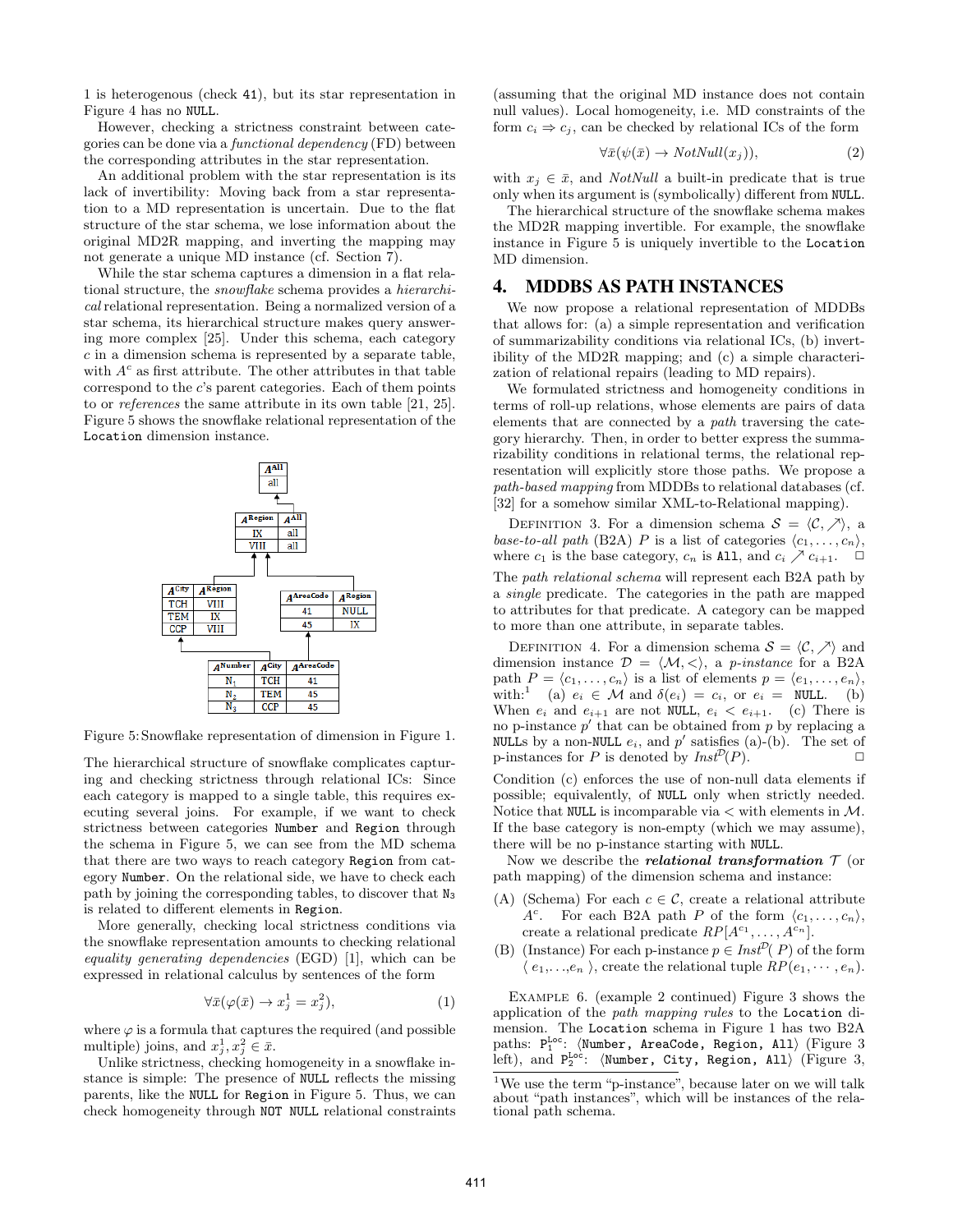1 is heterogenous (check 41), but its star representation in Figure 4 has no NULL.

However, checking a strictness constraint between categories can be done via a *functional dependency* (FD) between the corresponding attributes in the star representation.

An additional problem with the star representation is its lack of invertibility: Moving back from a star representation to a MD representation is uncertain. Due to the flat structure of the star schema, we lose information about the original MD2R mapping, and inverting the mapping may not generate a unique MD instance (cf. Section 7).

While the star schema captures a dimension in a flat relational structure, the *snowflake* schema provides a *hierarchical* relational representation. Being a normalized version of a star schema, its hierarchical structure makes query answering more complex [25]. Under this schema, each category *c* in a dimension schema is represented by a separate table, with  $A<sup>c</sup>$  as first attribute. The other attributes in that table correspond to the *c*'s parent categories. Each of them points to or *references* the same attribute in its own table [21, 25]. Figure 5 shows the snowflake relational representation of the Location dimension instance.



Figure 5: Snowflake representation of dimension in Figure 1.

The hierarchical structure of snowflake complicates capturing and checking strictness through relational ICs: Since each category is mapped to a single table, this requires executing several joins. For example, if we want to check strictness between categories Number and Region through the schema in Figure 5, we can see from the MD schema that there are two ways to reach category Region from category Number. On the relational side, we have to check each path by joining the corresponding tables, to discover that N<sup>3</sup> is related to different elements in Region.

More generally, checking local strictness conditions via the snowflake representation amounts to checking relational *equality generating dependencies* (EGD) [1], which can be expressed in relational calculus by sentences of the form

$$
\forall \bar{x}(\varphi(\bar{x}) \to x_j^1 = x_j^2),\tag{1}
$$

where  $\varphi$  is a formula that captures the required (and possible multiple) joins, and  $x_j^1, x_j^2 \in \bar{x}$ .

Unlike strictness, checking homogeneity in a snowflake instance is simple: The presence of NULL reflects the missing parents, like the NULL for Region in Figure 5. Thus, we can check homogeneity through NOT NULL relational constraints (assuming that the original MD instance does not contain null values). Local homogeneity, i.e. MD constraints of the form  $c_i \Rightarrow c_j$ , can be checked by relational ICs of the form

$$
\forall \bar{x}(\psi(\bar{x}) \to \text{NotNull}(x_j)), \tag{2}
$$

with  $x_j \in \bar{x}$ , and *NotNull* a built-in predicate that is true only when its argument is (symbolically) different from NULL.

The hierarchical structure of the snowflake schema makes the MD2R mapping invertible. For example, the snowflake instance in Figure 5 is uniquely invertible to the Location MD dimension.

### 4. MDDBS AS PATH INSTANCES

We now propose a relational representation of MDDBs that allows for: (a) a simple representation and verification of summarizability conditions via relational ICs, (b) invertibility of the MD2R mapping; and (c) a simple characterization of relational repairs (leading to MD repairs).

We formulated strictness and homogeneity conditions in terms of roll-up relations, whose elements are pairs of data elements that are connected by a *path* traversing the category hierarchy. Then, in order to better express the summarizability conditions in relational terms, the relational representation will explicitly store those paths. We propose a *path-based mapping* from MDDBs to relational databases (cf. [32] for a somehow similar XML-to-Relational mapping).

DEFINITION 3. For a dimension schema  $S = \langle C, \rangle$ , a *base-to-all path* (B2A) *P* is a list of categories  $\langle c_1, \ldots, c_n \rangle$ , where  $c_1$  is the base category,  $c_n$  is All, and  $c_i \nearrow c_{i+1}$ .

The *path relational schema* will represent each B2A path by a *single* predicate. The categories in the path are mapped to attributes for that predicate. A category can be mapped to more than one attribute, in separate tables.

DEFINITION 4. For a dimension schema  $S = \langle C, \rangle$  and dimension instance  $\mathcal{D} = \langle \mathcal{M}, \langle \rangle$ , a *p-instance* for a B2A path  $P = \langle c_1, \ldots, c_n \rangle$  is a list of elements  $p = \langle e_1, \ldots, e_n \rangle$ , with:<sup>1</sup> (a)  $e_i \in \mathcal{M}$  and  $\delta(e_i) = c_i$ , or  $e_i = \text{NULL}$ . (b) When  $e_i$  and  $e_{i+1}$  are not NULL,  $e_i \leq e_{i+1}$ . (c) There is no p-instance *p ′* that can be obtained from *p* by replacing a NULLs by a non-NULL  $e_i$ , and  $p'$  satisfies (a)-(b). The set of p-instances for *P* is denoted by  $Inst^{\mathcal{D}}(P)$ .  $\Box$ 

Condition (c) enforces the use of non-null data elements if possible; equivalently, of NULL only when strictly needed. Notice that NULL is incomparable via *<* with elements in *M*. If the base category is non-empty (which we may assume), there will be no p-instance starting with NULL.

Now we describe the *relational transformation T* (or path mapping) of the dimension schema and instance:

- (A) (Schema) For each  $c \in \mathcal{C}$ , create a relational attribute  $A^c$ . For each B2A path *P* of the form  $\langle c_1, \ldots, c_n \rangle$ , create a relational predicate  $RP[A^{c_1}, \ldots, A^{c_n}].$
- (B) (Instance) For each p-instance  $p \in \text{Inst}^{\mathcal{D}}(P)$  of the form  $\langle e_1, \ldots, e_n \rangle$ , create the relational tuple  $RP(e_1, \cdots, e_n)$ .

Example 6. (example 2 continued) Figure 3 shows the application of the *path mapping rules* to the Location dimension. The Location schema in Figure 1 has two B2A paths:  $P_1^{Loc}$ : *(Number, AreaCode, Region, All)* (Figure 3 left), and P<sup>Loc</sup>: (Number, City, Region, All) (Figure 3,

<sup>&</sup>lt;sup>1</sup>We use the term "p-instance", because later on we will talk about "path instances", which will be instances of the relational path schema.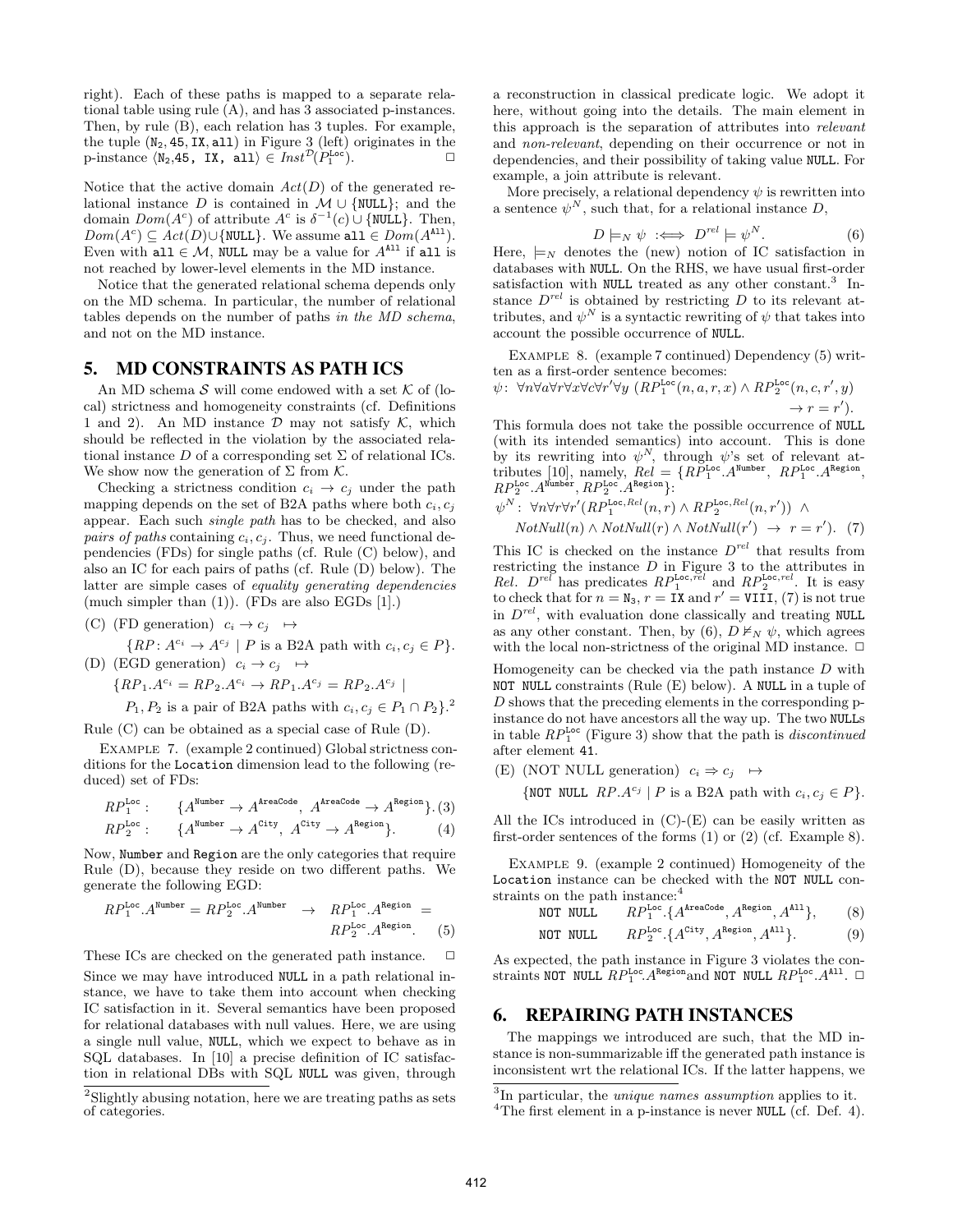right). Each of these paths is mapped to a separate relational table using rule (A), and has 3 associated p-instances. Then, by rule (B), each relation has 3 tuples. For example, the tuple  $(N_2, 45, IX, all)$  in Figure 3 (left) originates in the  $p\text{-instance } \langle N_2, 45, IX, all \rangle \in \text{Inst}^{\mathcal{D}}(P_1^{\text{Loc}}).$ 

Notice that the active domain *Act*(*D*) of the generated relational instance *D* is contained in *M ∪ {*NULL*}*; and the domain  $Dom(A^c)$  of attribute  $A^c$  is  $\delta^{-1}(c) \cup \{NULL\}$ . Then,  $Dom(A^c) ⊆ Act(D) ∪$ {NULL}. We assume all  $∈ Dom(A^{A11})$ . Even with all  $\in \mathcal{M}$ , NULL may be a value for  $A^{A11}$  if all is not reached by lower-level elements in the MD instance.

Notice that the generated relational schema depends only on the MD schema. In particular, the number of relational tables depends on the number of paths *in the MD schema*, and not on the MD instance.

### 5. MD CONSTRAINTS AS PATH ICS

An MD schema *S* will come endowed with a set *K* of (local) strictness and homogeneity constraints (cf. Definitions 1 and 2). An MD instance *D* may not satisfy *K*, which should be reflected in the violation by the associated relational instance  $D$  of a corresponding set  $\Sigma$  of relational ICs. We show now the generation of Σ from *K*.

Checking a strictness condition  $c_i \rightarrow c_j$  under the path mapping depends on the set of B2A paths where both  $c_i, c_j$ appear. Each such *single path* has to be checked, and also *pairs of paths* containing  $c_i, c_j$ . Thus, we need functional dependencies (FDs) for single paths (cf. Rule (C) below), and also an IC for each pairs of paths (cf. Rule (D) below). The latter are simple cases of *equality generating dependencies* (much simpler than  $(1)$ ). (FDs are also EGDs  $[1]$ .)

(C) (FD generation)  $c_i \rightarrow c_j \rightarrow$ 

$$
\{RP: A^{c_i} \to A^{c_j} \mid P \text{ is a B2A path with } c_i, c_j \in P\}.
$$

(D) (EGD generation) 
$$
c_i \rightarrow c_j \rightarrow
$$

$$
\{RP_1.A^{c_i} = RP_2.A^{c_i} \to RP_1.A^{c_j} = RP_2.A^{c_j} \mid
$$

$$
P_1, P_2
$$
 is a pair of B2A paths with  $c_i, c_j \in P_1 \cap P_2$ .<sup>2</sup>

Rule (C) can be obtained as a special case of Rule (D).

Example 7. (example 2 continued) Global strictness conditions for the Location dimension lead to the following (reduced) set of FDs:

$$
RP_1^{\text{Loc}}: \qquad \{A^{\text{Number}} \to A^{\text{AreaCode}}, A^{\text{AreaCode}} \to A^{\text{Region}}\}. \tag{3}
$$

$$
RP_2^{\text{Loc}}
$$
: { $A^{\text{Number}} \to A^{\text{City}}, A^{\text{City}} \to A^{\text{Region}}$ }. (4)

Now, Number and Region are the only categories that require Rule (D), because they reside on two different paths. We generate the following EGD:

$$
RP_1^{\text{Loc}}. A^{\text{Number}} = RP_2^{\text{Loc}}. A^{\text{Number}} \rightarrow RP_1^{\text{Loc}}. A^{\text{Region}} =
$$
  

$$
RP_2^{\text{Loc}}. A^{\text{Region}}. \tag{5}
$$

These ICs are checked on the generated path instance.  $\Box$ 

Since we may have introduced NULL in a path relational instance, we have to take them into account when checking IC satisfaction in it. Several semantics have been proposed for relational databases with null values. Here, we are using a single null value, NULL, which we expect to behave as in SQL databases. In [10] a precise definition of IC satisfaction in relational DBs with SQL NULL was given, through a reconstruction in classical predicate logic. We adopt it here, without going into the details. The main element in this approach is the separation of attributes into *relevant* and *non-relevant*, depending on their occurrence or not in dependencies, and their possibility of taking value NULL. For example, a join attribute is relevant.

More precisely, a relational dependency  $\psi$  is rewritten into a sentence  $\psi^N$ , such that, for a relational instance  $D$ ,

$$
D \models_N \psi \iff D^{rel} \models \psi^N. \tag{6}
$$

Here,  $\models_N$  denotes the (new) notion of IC satisfaction in databases with NULL. On the RHS, we have usual first-order satisfaction with NULL treated as any other constant.<sup>3</sup> Instance  $D^{rel}$  is obtained by restricting  $D$  to its relevant attributes, and  $\psi^N$  is a syntactic rewriting of  $\psi$  that takes into account the possible occurrence of NULL.

EXAMPLE 8. (example 7 continued) Dependency (5) written as a first-order sentence becomes:

$$
\psi \colon \forall n \forall a \forall r \forall x \forall c \forall r' \forall y \ (RP_1^{\text{Loc}}(n, a, r, x) \land RP_2^{\text{Loc}}(n, c, r', y) \rightarrow r = r').
$$

This formula does not take the possible occurrence of NULL (with its intended semantics) into account. This is done by its rewriting into  $\psi^N$ , through  $\psi$ 's set of relevant attributes [10], namely,  $Rel = \{RP_1^{\text{Loc}} \cdot A^{\text{Number}} \}, RP_1^{\text{Loc}} \cdot A^{\text{Region}} \}$  $RP_2^{\text{Loc}}.A^{\text{Number}}, RP_2^{\text{Loc}}.A^{\text{Region}}\}$ :

$$
\psi^N: \ \forall n \forall r \forall r' (RP_1^{\text{Loc}, Rel}(n, r) \land RP_2^{\text{Loc}, Rel}(n, r')) \land
$$
  
\n
$$
NotNull(n) \land NotNull(r) \land NotNull(r') \rightarrow r = r'). \tag{7}
$$

This IC is checked on the instance *D rel* that results from restricting the instance *D* in Figure 3 to the attributes in *Rel.*  $D^{rel}$  has predicates  $RP_1^{\text{Loc},\text{rel}}$  and  $RP_2^{\text{Loc},\text{rel}}$ . It is easy to check that for  $n = N_3$ ,  $r = IX$  and  $r' = VIII$ , (7) is not true in *D rel* , with evaluation done classically and treating NULL as any other constant. Then, by (6),  $D \nvDash_N \psi$ , which agrees with the local non-strictness of the original MD instance.  $\Box$ 

Homogeneity can be checked via the path instance *D* with NOT NULL constraints (Rule (E) below). A NULL in a tuple of *D* shows that the preceding elements in the corresponding pinstance do not have ancestors all the way up. The two NULLs in table *RP*Loc <sup>1</sup> (Figure 3) show that the path is *discontinued* after element 41.

(E) (NOT NULL generation)  $c_i \Rightarrow c_j \rightarrow$ 

{NOT NULL *RP.A<sup>c<sub>j</sub>*</sup> | *P* is a B2A path with  $c_i, c_j \in P$ }.

All the ICs introduced in  $(C)$ - $(E)$  can be easily written as first-order sentences of the forms (1) or (2) (cf. Example 8).

Example 9. (example 2 continued) Homogeneity of the Location instance can be checked with the NOT NULL constraints on the path instance:<sup>4</sup>

NOT NULL 
$$
RP_1^{\text{Loc.}} \{A^{\text{AreaCode}}, A^{\text{Region}}, A^{\text{All}}\},
$$
 (8)  
NOT NULL  $RP_2^{\text{Loc.}} \{A^{\text{City}}, A^{\text{Region}}, A^{\text{All}}\}.$  (9)

As expected, the path instance in Figure 3 violates the constraints NOT NULL 
$$
RP_1^{\text{Loc}} \cdot A^{\text{Region}}
$$
 and NOT NULL  $RP_1^{\text{Loc}} \cdot A^{\text{All}}$ .  $\Box$ 

# 6. REPAIRING PATH INSTANCES

The mappings we introduced are such, that the MD instance is non-summarizable iff the generated path instance is inconsistent wrt the relational ICs. If the latter happens, we

<sup>&</sup>lt;sup>2</sup>Slightly abusing notation, here we are treating paths as sets of categories.

<sup>3</sup> In particular, the *unique names assumption* applies to it.

 ${}^{4}$ The first element in a p-instance is never NULL (cf. Def. 4).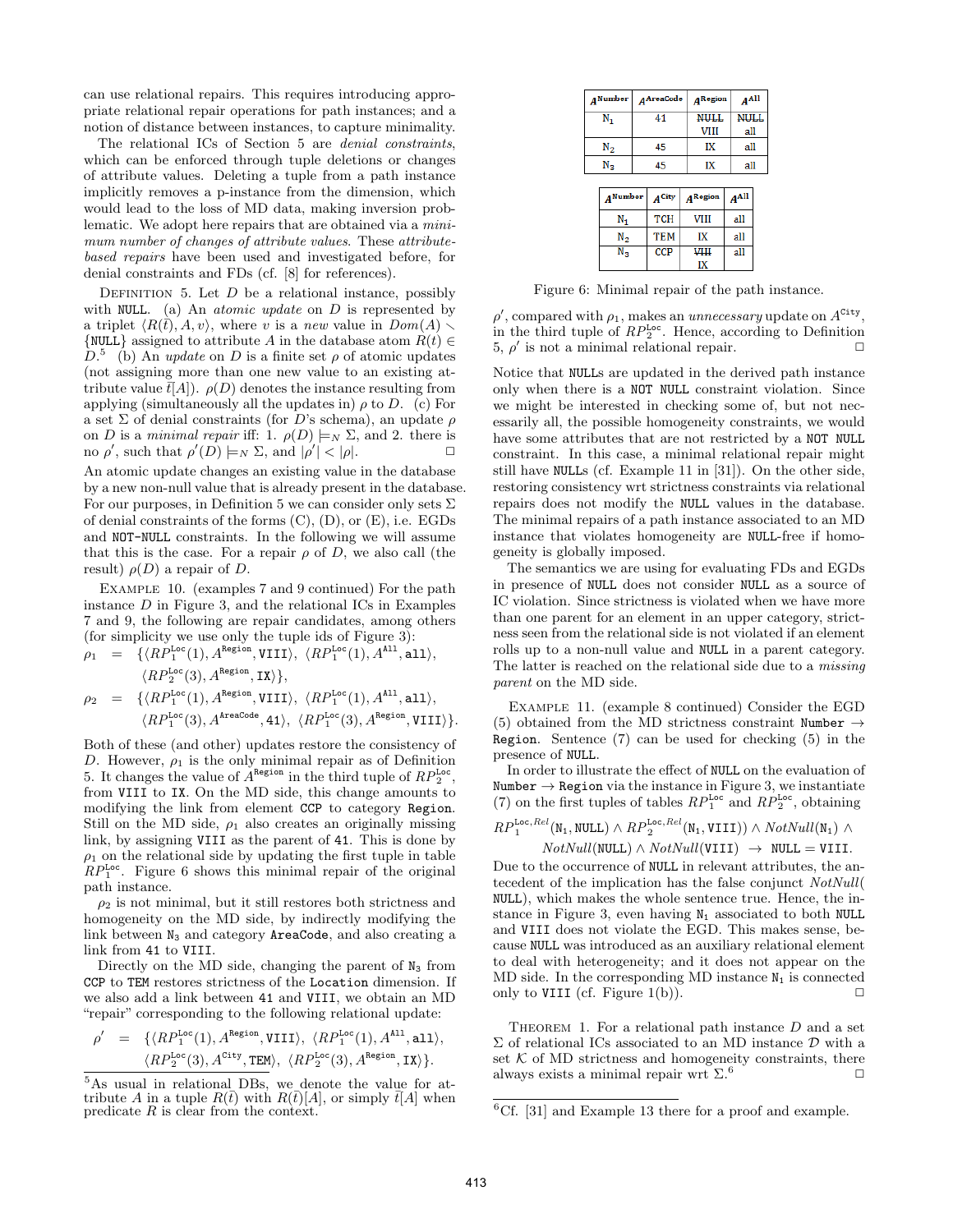can use relational repairs. This requires introducing appropriate relational repair operations for path instances; and a notion of distance between instances, to capture minimality.

The relational ICs of Section 5 are *denial constraints*, which can be enforced through tuple deletions or changes of attribute values. Deleting a tuple from a path instance implicitly removes a p-instance from the dimension, which would lead to the loss of MD data, making inversion problematic. We adopt here repairs that are obtained via a *minimum number of changes of attribute values*. These *attributebased repairs* have been used and investigated before, for denial constraints and FDs (cf. [8] for references).

DEFINITION 5. Let  $D$  be a relational instance, possibly with NULL. (a) An *atomic update* on *D* is represented by a triplet  $\langle R(\bar{t}), A, v \rangle$ , where *v* is a *new* value in  $Dom(A)$  $\{NULL\}$  assigned to attribute *A* in the database atom  $R(t) \in$  $D^5$  (b) An *update* on *D* is a finite set  $\rho$  of atomic updates (not assigning more than one new value to an existing attribute value  $\bar{t}[A]$ ).  $\rho(D)$  denotes the instance resulting from applying (simultaneously all the updates in)  $\rho$  to *D*. (c) For a set Σ of denial constraints (for *D*'s schema), an update *ρ* on *D* is a *minimal repair* iff: 1.  $\rho(D) \models_N \Sigma$ , and 2. there is  $\Box$  no  $\rho'$ , such that  $\rho'(D) \models_N \Sigma$ , and  $|\rho'| < |\rho|$ .

An atomic update changes an existing value in the database by a new non-null value that is already present in the database. For our purposes, in Definition 5 we can consider only sets  $\Sigma$ of denial constraints of the forms  $(C)$ ,  $(D)$ , or  $(E)$ , i.e. EGDs and NOT-NULL constraints. In the following we will assume that this is the case. For a repair  $\rho$  of *D*, we also call (the result)  $\rho(D)$  a repair of *D*.

EXAMPLE 10. (examples 7 and 9 continued) For the path instance *D* in Figure 3, and the relational ICs in Examples 7 and 9, the following are repair candidates, among others (for simplicity we use only the tuple ids of Figure 3):

$$
\rho_1 = \{ \langle RP_1^{\text{Loc}}(1), A^{\text{Region}}, \text{VIII} \rangle, \langle RP_1^{\text{Loc}}(1), A^{\text{All}}, \text{all} \rangle, \langle RP_2^{\text{Loc}}(3), A^{\text{Region}}, \text{IX} \rangle \}, \n\rho_2 = \{ \langle RP_1^{\text{Loc}}(1), A^{\text{Region}}, \text{VIII} \rangle, \langle RP_1^{\text{Loc}}(1), A^{\text{All}}, \text{all} \rangle, \langle RP_1^{\text{Loc}}(3), A^{\text{areaCode}}, 41 \rangle, \langle RP_1^{\text{Loc}}(3), A^{\text{Region}}, \text{VIII} \rangle \}.
$$

Both of these (and other) updates restore the consistency of *D*. However,  $\rho_1$  is the only minimal repair as of Definition 5. It changes the value of  $A^{\text{Region}}$  in the third tuple of  $RP_2^{\text{Loc}}$ , from VIII to IX. On the MD side, this change amounts to modifying the link from element CCP to category Region. Still on the MD side,  $\rho_1$  also creates an originally missing link, by assigning VIII as the parent of 41. This is done by  $\rho_1$  on the relational side by updating the first tuple in table *RP*<sup>Loc</sup>. Figure 6 shows this minimal repair of the original path instance.

 $\rho_2$  is not minimal, but it still restores both strictness and homogeneity on the MD side, by indirectly modifying the link between  $N_3$  and category **AreaCode**, and also creating a link from 41 to VIII.

Directly on the MD side, changing the parent of  $N_3$  from CCP to TEM restores strictness of the Location dimension. If we also add a link between 41 and VIII, we obtain an MD "repair" corresponding to the following relational update:

$$
\begin{array}{lll} \rho' & = & \{ \langle RP_1^{\text{Loc}}(1), A^{\text{Region}}, \text{VIII}\rangle, \ \langle RP_1^{\text{Loc}}(1), A^{\text{All}}, \text{all}\rangle, \\ & & \langle RP_2^{\text{Loc}}(3), A^{\text{City}}, \text{TEM}\rangle, \ \langle RP_2^{\text{Loc}}(3), A^{\text{Region}}, \text{IX}\rangle \}. \end{array}
$$

| 4 Number        |    | AAreaCode  |             | $A$ Region  |  | $A^{All}$   |  |
|-----------------|----|------------|-------------|-------------|--|-------------|--|
| N,              |    | 41         |             | <b>NULL</b> |  | <b>NULL</b> |  |
|                 |    |            | <b>VIII</b> | all         |  |             |  |
| $N_{2}$         | 45 |            | IX          |             |  | all         |  |
| $N_{3}$         |    | 45         |             | IX          |  | all         |  |
|                 |    |            |             |             |  |             |  |
| <b>A</b> Number |    | $A$ City   |             | $A$ Region  |  | $A^{All}$   |  |
| N,              |    | <b>TCH</b> |             | VIII        |  | all         |  |
| N2              |    | <b>TEM</b> |             | IX          |  | all         |  |

Figure 6: Minimal repair of the path instance.

**CCP** 

**VIII** 

IX

all

 $\rm N_3$ 

 $\rho'$ , compared with  $\rho_1$ , makes an *unnecessary* update on  $A^{\text{City}}$ , in the third tuple of  $RP_2^{\text{Loc}}$ . Hence, according to Definition  $5, \rho'$  is not a minimal relational repair.  $\Box$ 

Notice that NULLs are updated in the derived path instance only when there is a NOT NULL constraint violation. Since we might be interested in checking some of, but not necessarily all, the possible homogeneity constraints, we would have some attributes that are not restricted by a NOT NULL constraint. In this case, a minimal relational repair might still have NULLs (cf. Example 11 in [31]). On the other side, restoring consistency wrt strictness constraints via relational repairs does not modify the NULL values in the database. The minimal repairs of a path instance associated to an MD instance that violates homogeneity are NULL-free if homogeneity is globally imposed.

The semantics we are using for evaluating FDs and EGDs in presence of NULL does not consider NULL as a source of IC violation. Since strictness is violated when we have more than one parent for an element in an upper category, strictness seen from the relational side is not violated if an element rolls up to a non-null value and NULL in a parent category. The latter is reached on the relational side due to a *missing parent* on the MD side.

Example 11. (example 8 continued) Consider the EGD (5) obtained from the MD strictness constraint Number *→* Region. Sentence (7) can be used for checking (5) in the presence of NULL.

In order to illustrate the effect of NULL on the evaluation of Number *→* Region via the instance in Figure 3, we instantiate (7) on the first tuples of tables  $RP_1^{\text{Loc}}$  and  $RP_2^{\text{Loc}}$ , obtaining

$$
RP_1^{\text{Loc},Rel}(\text{N}_1, \text{NULL}) \wedge RP_2^{\text{Loc}, Rel}(\text{N}_1, \text{VIII}) \wedge NotNull(\text{N}_1) \wedge NotNull(\text{NULL}) \wedge NotNull(\text{VUL}) \rightarrow \text{NULL} = \text{VIII}.
$$

Due to the occurrence of NULL in relevant attributes, the antecedent of the implication has the false conjunct *NotNull*( NULL), which makes the whole sentence true. Hence, the instance in Figure 3, even having  $N_1$  associated to both NULL and VIII does not violate the EGD. This makes sense, because NULL was introduced as an auxiliary relational element to deal with heterogeneity; and it does not appear on the MD side. In the corresponding MD instance  $N_1$  is connected only to VIII (cf. Figure 1(b)).  $\Box$ 

THEOREM 1. For a relational path instance D and a set Σ of relational ICs associated to an MD instance *D* with a set  $K$  of MD strictness and homogeneity constraints, there always exists a minimal repair wrt  $\Sigma$ .<sup>6</sup>

<sup>5</sup>As usual in relational DBs, we denote the value for attribute *A* in a tuple  $R(\bar{t})$  with  $R(\bar{t})[A]$ , or simply  $\bar{t}[A]$  when predicate *R* is clear from the context.

 ${}^{6}$ Cf. [31] and Example 13 there for a proof and example.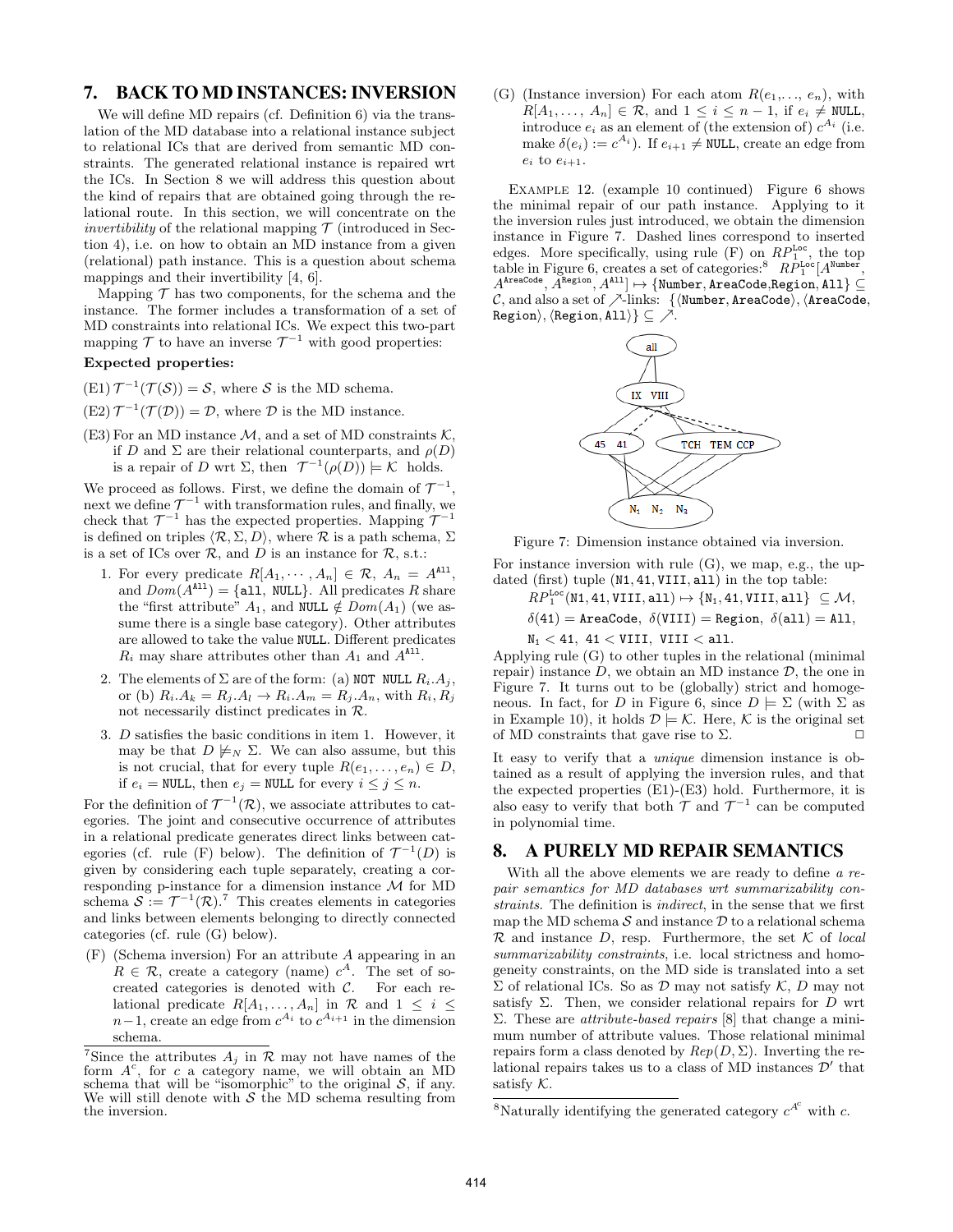# 7. BACK TO MD INSTANCES: INVERSION

We will define MD repairs (cf. Definition 6) via the translation of the MD database into a relational instance subject to relational ICs that are derived from semantic MD constraints. The generated relational instance is repaired wrt the ICs. In Section 8 we will address this question about the kind of repairs that are obtained going through the relational route. In this section, we will concentrate on the *invertibility* of the relational mapping  $\mathcal T$  (introduced in Section 4), i.e. on how to obtain an MD instance from a given (relational) path instance. This is a question about schema mappings and their invertibility [4, 6].

Mapping  $\mathcal T$  has two components, for the schema and the instance. The former includes a transformation of a set of MD constraints into relational ICs. We expect this two-part mapping  $\mathcal T$  to have an inverse  $\mathcal T^{-1}$  with good properties:

# **Expected properties:**

- $(E1) \mathcal{T}^{-1}(\mathcal{T}(\mathcal{S})) = \mathcal{S}$ , where  $\mathcal{S}$  is the MD schema.
- $(E2) \mathcal{T}^{-1}(\mathcal{T}(\mathcal{D})) = \mathcal{D}$ , where  $\mathcal D$  is the MD instance.
- (E3) For an MD instance *M*, and a set of MD constraints *K*, if *D* and  $\Sigma$  are their relational counterparts, and  $\rho(D)$ is a repair of *D* wrt  $\Sigma$ , then  $\mathcal{T}^{-1}(\rho(D)) \models \mathcal{K}$  holds.

We proceed as follows. First, we define the domain of  $\mathcal{T}^{-1}$ , next we define  $\mathcal{T}^{-1}$  with transformation rules, and finally, we check that  $\mathcal{T}^{-1}$  has the expected properties. Mapping  $\mathcal{T}^{-1}$ is defined on triples  $\langle \mathcal{R}, \Sigma, D \rangle$ , where  $\mathcal R$  is a path schema,  $\Sigma$ is a set of ICs over  $\mathcal{R}$ , and  $D$  is an instance for  $\mathcal{R}$ , s.t.:

- 1. For every predicate  $R[A_1, \cdots, A_n] \in \mathcal{R}, A_n = A^{1,1}$ , and  $Dom(A^{All}) = \{all, NULL\}$ . All predicates R share the "first attribute"  $A_1$ , and NULL  $\notin Dom(A_1)$  (we assume there is a single base category). Other attributes are allowed to take the value NULL. Different predicates  $R_i$  may share attributes other than  $A_1$  and  $A^{\text{All}}$ .
- 2. The elements of  $\Sigma$  are of the form: (a) NOT NULL  $R_i.A_j$ , or (b)  $R_i.A_k = R_j.A_l \rightarrow R_i.A_m = R_j.A_n$ , with  $R_i, R_j$ not necessarily distinct predicates in *R*.
- 3. *D* satisfies the basic conditions in item 1. However, it may be that  $D \not\models_N \Sigma$ . We can also assume, but this is not crucial, that for every tuple  $R(e_1, \ldots, e_n) \in D$ , if  $e_i$  = NULL, then  $e_j$  = NULL for every  $i \leq j \leq n$ .

For the definition of  $\mathcal{T}^{-1}(\mathcal{R})$ , we associate attributes to categories. The joint and consecutive occurrence of attributes in a relational predicate generates direct links between categories (cf. rule (F) below). The definition of  $\mathcal{T}^{-1}(D)$  is given by considering each tuple separately, creating a corresponding p-instance for a dimension instance *M* for MD schema  $S := \mathcal{T}^{-1}(\mathcal{R})$ .<sup>7</sup> This creates elements in categories and links between elements belonging to directly connected categories (cf. rule (G) below).

(F) (Schema inversion) For an attribute *A* appearing in an  $R \in \mathcal{R}$ , create a category (name)  $c^A$ . The set of socreated categories is denoted with *C*. For each relational predicate  $R[A_1, \ldots, A_n]$  in  $\mathcal R$  and  $1 \leq i \leq$ *n*−1, create an edge from  $c^{A_i}$  to  $c^{A_{i+1}}$  in the dimension schema.

(G) (Instance inversion) For each atom  $R(e_1, \ldots, e_n)$ , with  $R[A_1, \ldots, A_n] \in \mathcal{R}$ , and  $1 \leq i \leq n-1$ , if  $e_i \neq \texttt{NULL}$ , introduce  $e_i$  as an element of (the extension of)  $c^{A_i}$  (i.e. make  $\delta(e_i) := c^{A_i}$ . If  $e_{i+1} \neq \text{NULL}$ , create an edge from  $e_i$  to  $e_{i+1}$ .

Example 12. (example 10 continued) Figure 6 shows the minimal repair of our path instance. Applying to it the inversion rules just introduced, we obtain the dimension instance in Figure 7. Dashed lines correspond to inserted edges. More specifically, using rule  $(F)$  on  $RP_1^{\text{Loc}}$ , the top table in Figure 6, creates a set of categories:<sup>8</sup>  $RP_1^{\text{Loc}}[A^{\text{Number}},$  $A^{\texttt{AreaCode}}, A^{\texttt{Region}}, A^{\texttt{All}}] \mapsto \{\texttt{Number}, \texttt{AreaCode}, \texttt{Region}, \texttt{All}\} \subseteq I$ *C*, and also a set of *↗*-links: *{⟨*Number*,* AreaCode*⟩,⟨*AreaCode*,* Region*⟩,⟨*Region*,* All*⟩} ⊆ ↗*.



Figure 7: Dimension instance obtained via inversion.

For instance inversion with rule  $(G)$ , we map, e.g., the updated (first) tuple (N1*,* 41*,* VIII*,* all) in the top table:

$$
RP_1^{\text{Loc}}(\text{N1}, 41, \text{VIII}, \text{all}) \mapsto \{N_1, 41, \text{VIII}, \text{all}\} \subseteq \mathcal{M},
$$
  

$$
\delta(41) = \text{AreaCode}, \ \delta(\text{VIII}) = \text{Region}, \ \delta(\text{all}) = \text{All},
$$

N<sup>1</sup> *<* 41*,* 41 *<* VIII*,* VIII *<* all*.*

Applying rule (G) to other tuples in the relational (minimal repair) instance  $D$ , we obtain an MD instance  $D$ , the one in Figure 7. It turns out to be (globally) strict and homogeneous. In fact, for *D* in Figure 6, since  $D \models \Sigma$  (with  $\Sigma$  as in Example 10), it holds  $\mathcal{D} \models \mathcal{K}$ . Here,  $\mathcal{K}$  is the original set of MD constraints that gave rise to  $\Sigma$ .  $\Box$ 

It easy to verify that a *unique* dimension instance is obtained as a result of applying the inversion rules, and that the expected properties (E1)-(E3) hold. Furthermore, it is also easy to verify that both  $\mathcal{T}$  and  $\mathcal{T}^{-1}$  can be computed in polynomial time.

### 8. A PURELY MD REPAIR SEMANTICS

With all the above elements we are ready to define *a repair semantics for MD databases wrt summarizability constraints*. The definition is *indirect*, in the sense that we first map the MD schema  $S$  and instance  $D$  to a relational schema *R* and instance *D*, resp. Furthermore, the set *K* of *local summarizability constraints*, i.e. local strictness and homogeneity constraints, on the MD side is translated into a set Σ of relational ICs. So as *D* may not satisfy *K*, *D* may not satisfy  $\Sigma$ . Then, we consider relational repairs for *D* wrt Σ. These are *attribute-based repairs* [8] that change a minimum number of attribute values. Those relational minimal repairs form a class denoted by  $Rep(D, \Sigma)$ . Inverting the relational repairs takes us to a class of MD instances *D ′* that satisfy *K*.

<sup>&</sup>lt;sup>7</sup>Since the attributes  $A_j$  in  $R$  may not have names of the form  $A^c$ , for *c* a category name, we will obtain an MD schema that will be "isomorphic" to the original *S*, if any. We will still denote with  $S$  the MD schema resulting from the inversion.

<sup>&</sup>lt;sup>8</sup>Naturally identifying the generated category  $c^{A^c}$  with *c*.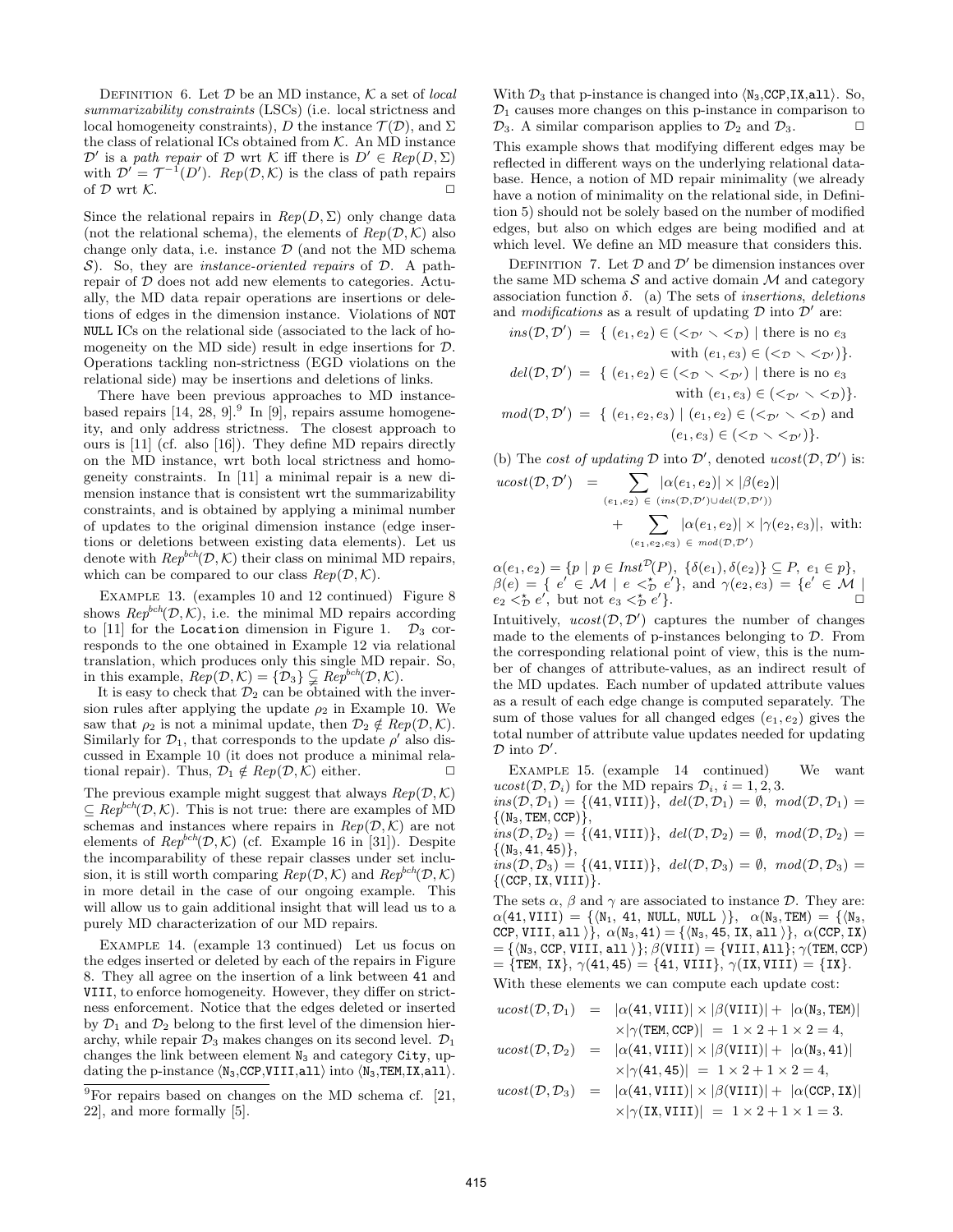DEFINITION 6. Let  $D$  be an MD instance,  $K$  a set of *local summarizability constraints* (LSCs) (i.e. local strictness and local homogeneity constraints), *D* the instance  $\mathcal{T}(\mathcal{D})$ , and  $\Sigma$ the class of relational ICs obtained from *K*. An MD instance  $\mathcal{D}'$  is a *path repair* of  $\mathcal{D}$  wrt  $\mathcal{K}$  iff there is  $D' \in Rep(D, \Sigma)$ with  $\mathcal{D}' = \mathcal{T}^{-1}(D')$ . *Rep*( $\mathcal{D}, \mathcal{K}$ ) is the class of path repairs of  $D$  wrt  $K$ .

Since the relational repairs in  $Rep(D, \Sigma)$  only change data (not the relational schema), the elements of  $Rep(D, \mathcal{K})$  also change only data, i.e. instance *D* (and not the MD schema *S*). So, they are *instance-oriented repairs* of *D*. A pathrepair of *D* does not add new elements to categories. Actually, the MD data repair operations are insertions or deletions of edges in the dimension instance. Violations of NOT NULL ICs on the relational side (associated to the lack of homogeneity on the MD side) result in edge insertions for *D*. Operations tackling non-strictness (EGD violations on the relational side) may be insertions and deletions of links.

There have been previous approaches to MD instancebased repairs  $[14, 28, 9]$ .<sup>9</sup> In [9], repairs assume homogeneity, and only address strictness. The closest approach to ours is [11] (cf. also [16]). They define MD repairs directly on the MD instance, wrt both local strictness and homogeneity constraints. In [11] a minimal repair is a new dimension instance that is consistent wrt the summarizability constraints, and is obtained by applying a minimal number of updates to the original dimension instance (edge insertions or deletions between existing data elements). Let us denote with  $Rep^{bch}(\mathcal{D}, \mathcal{K})$  their class on minimal MD repairs, which can be compared to our class  $Rep(D, K)$ .

EXAMPLE 13. (examples 10 and 12 continued) Figure 8 shows  $Rep^{bch}(\mathcal{D}, \mathcal{K})$ , i.e. the minimal MD repairs according to [11] for the Location dimension in Figure 1.  $\mathcal{D}_3$  corresponds to the one obtained in Example 12 via relational translation, which produces only this single MD repair. So, in this example,  $Rep(\mathcal{D}, \mathcal{K}) = {\mathcal{D}_3} \subseteq Rep^{bch}(\mathcal{D}, \mathcal{K})$ .

It is easy to check that  $\mathcal{D}_2$  can be obtained with the inversion rules after applying the update  $\rho_2$  in Example 10. We saw that  $\rho_2$  is not a minimal update, then  $\mathcal{D}_2 \notin Rep(\mathcal{D}, \mathcal{K})$ . Similarly for  $\mathcal{D}_1$ , that corresponds to the update  $\rho'$  also discussed in Example 10 (it does not produce a minimal relational repair). Thus,  $\mathcal{D}_1 \notin Rep(\mathcal{D}, \mathcal{K})$  either.

The previous example might suggest that always  $Rep(D, K)$ *⊆ Repbch*(*D, K*). This is not true: there are examples of MD schemas and instances where repairs in  $Rep(D, K)$  are not elements of  $Rep^{bch}(\mathcal{D}, \mathcal{K})$  (cf. Example 16 in [31]). Despite the incomparability of these repair classes under set inclusion, it is still worth comparing  $Rep(\mathcal{D}, \mathcal{K})$  and  $Rep^{bch}(\mathcal{D}, \mathcal{K})$ in more detail in the case of our ongoing example. This will allow us to gain additional insight that will lead us to a purely MD characterization of our MD repairs.

Example 14. (example 13 continued) Let us focus on the edges inserted or deleted by each of the repairs in Figure 8. They all agree on the insertion of a link between 41 and VIII, to enforce homogeneity. However, they differ on strictness enforcement. Notice that the edges deleted or inserted by  $\mathcal{D}_1$  and  $\mathcal{D}_2$  belong to the first level of the dimension hierarchy, while repair  $\mathcal{D}_3$  makes changes on its second level.  $\mathcal{D}_1$ changes the link between element  $N_3$  and category City, updating the p-instance *⟨*N3,CCP,VIII,all*⟩* into *⟨*N3,TEM,IX,all*⟩*.

With *D*<sup>3</sup> that p-instance is changed into *⟨*N3,CCP,IX,all*⟩*. So,  $\mathcal{D}_1$  causes more changes on this p-instance in comparison to  $\mathcal{D}_3$ . A similar comparison applies to  $\mathcal{D}_2$  and  $\mathcal{D}_3$ .

This example shows that modifying different edges may be reflected in different ways on the underlying relational database. Hence, a notion of MD repair minimality (we already have a notion of minimality on the relational side, in Definition 5) should not be solely based on the number of modified edges, but also on which edges are being modified and at which level. We define an MD measure that considers this.

DEFINITION 7. Let  $D$  and  $D'$  be dimension instances over the same MD schema  $S$  and active domain  $M$  and category association function *δ*. (a) The sets of *insertions*, *deletions* and *modifications* as a result of updating  $D$  into  $D'$  are:

$$
ins(\mathcal{D}, \mathcal{D}') = \{ (e_1, e_2) \in (\langle \mathcal{D}' \rangle \langle \mathcal{D}' \rangle) \mid \text{there is no } e_3 \text{ with } (e_1, e_3) \in (\langle \mathcal{D} \rangle \langle \mathcal{D}' \rangle).
$$
  

$$
del(\mathcal{D}, \mathcal{D}') = \{ (e_1, e_2) \in (\langle \mathcal{D} \rangle \langle \mathcal{D}' \rangle) \mid \text{there is no } e_3 \text{ with } (e_1, e_3) \in (\langle \mathcal{D}' \rangle \langle \mathcal{D}' \rangle).
$$

 $mod(\mathcal{D}, \mathcal{D}') = \{ (e_1, e_2, e_3) \mid (e_1, e_2) \in (\leq_{\mathcal{D}'} \leq \leq_{\mathcal{D}}) \text{ and }$  $(e_1, e_3) \in \{ \langle \mathcal{D} \setminus \langle \mathcal{D}' \rangle \}.$ 

(b) The *cost of updating*  $D$  into  $D'$ , denoted  $ucost(D, D')$  is:

$$
cost(\mathcal{D}, \mathcal{D}') = \sum_{(e_1, e_2) \in (ins(\mathcal{D}, \mathcal{D}') \cup del(\mathcal{D}, \mathcal{D}'))} \left| \mathcal{A}(e_1, e_2) \right| \times |\mathcal{A}(e_1, e_2)|
$$
  
+ 
$$
\sum_{(e_1, e_2, e_3) \in mod(\mathcal{D}, \mathcal{D}')} \left| \mathcal{A}(e_1, e_2) \right| \times |\gamma(e_2, e_3)|, \text{ with:}
$$

 $\alpha(e_1, e_2) = \{p \mid p \in \text{Inst}^{\mathcal{D}}(P), \ \{\delta(e_1), \delta(e_2)\} \subseteq P, \ e_1 \in p\},\$  $\beta(e) = \{ e' \in M \mid e \leq p \}$ , and  $\gamma(e_2, e_3) = \{ e' \in M \mid e \leq p \}$  $e_2 \leq \frac{1}{2} e'$ , but not  $e_3 \leq \frac{1}{2} e'$ .

Intuitively,  $ucost(\mathcal{D}, \mathcal{D}')$  captures the number of changes made to the elements of p-instances belonging to *D*. From the corresponding relational point of view, this is the number of changes of attribute-values, as an indirect result of the MD updates. Each number of updated attribute values as a result of each edge change is computed separately. The sum of those values for all changed edges  $(e_1, e_2)$  gives the total number of attribute value updates needed for updating *D* into *D ′* .

Example 15. (example 14 continued) We want  $ucost(\mathcal{D}, \mathcal{D}_i)$  for the MD repairs  $\mathcal{D}_i$ ,  $i = 1, 2, 3$ .

 $ins(\mathcal{D}, \mathcal{D}_1) = \{ (41, \text{VIII}) \}, \ \ del(\mathcal{D}, \mathcal{D}_1) = \emptyset, \ \ mod(\mathcal{D}, \mathcal{D}_1) = \emptyset$ *{*(N3*,* TEM*,* CCP)*}*,  $\hat{f}(B, \mathcal{D}_2) = \{ (41, \text{VIII}) \}$ ,  $del(\mathcal{D}, \mathcal{D}_2) = \emptyset$ ,  $mod(\mathcal{D}, \mathcal{D}_2) = \emptyset$ *{*(N3*,* 41*,* 45)*}*,  $ins(\mathcal{D}, \mathcal{D}_3) = \{(41, VIII)\}, \ \ del(\mathcal{D}, \mathcal{D}_3) = \emptyset, \ \ mod(\mathcal{D}, \mathcal{D}_3) = \emptyset$ *{*(CCP*,* IX*,* VIII)*}*.

The sets  $\alpha$ ,  $\beta$  and  $\gamma$  are associated to instance *D*. They are:  $\alpha$ (41, VIII) = { $\langle N_1, 41, NULL, NULL \rangle$ },  $\alpha(N_3, TEM) = \{\langle N_3,$ CCP, VIII, all  $\rangle$ *}*,  $\alpha$ (N<sub>3</sub>, 41) = { $\langle N_3, 45, IX, all \rangle$ },  $\alpha$ (CCP, IX)  $= {\mathcal{N}_3, \text{CCP}, \text{VIII}, \text{all}}$   $}$ ;  $\beta(\text{VIII}) = {\text{VIII}, \text{All}}$ ;  $\gamma(\text{TEM}, \text{CCP})$  $=$  {TEM, IX},  $\gamma$ (41, 45) = {41, VIII},  $\gamma$ (IX, VIII) = {IX}.

With these elements we can compute each update cost:

$$
ucost(\mathcal{D}, \mathcal{D}_1) = |\alpha(41, VIII)| \times |\beta(VIII)| + |\alpha(\text{N}_3, TEM)|
$$
  
\n
$$
\times |\gamma(TEM, CCP)| = 1 \times 2 + 1 \times 2 = 4,
$$
  
\n
$$
ucost(\mathcal{D}, \mathcal{D}_2) = |\alpha(41, VIII)| \times |\beta(VIII)| + |\alpha(\text{N}_3, 41)|
$$
  
\n
$$
\times |\gamma(41, 45)| = 1 \times 2 + 1 \times 2 = 4,
$$
  
\n
$$
ucost(\mathcal{D}, \mathcal{D}_3) = |\alpha(41, VIII)| \times |\beta(VIII)| + |\alpha(CCP, IX)|
$$
  
\n
$$
\times |\gamma(IX, VIII)| = 1 \times 2 + 1 \times 1 = 3.
$$

 $\overline{u}$ 

 $9$ For repairs based on changes on the MD schema cf. [21, 22], and more formally [5].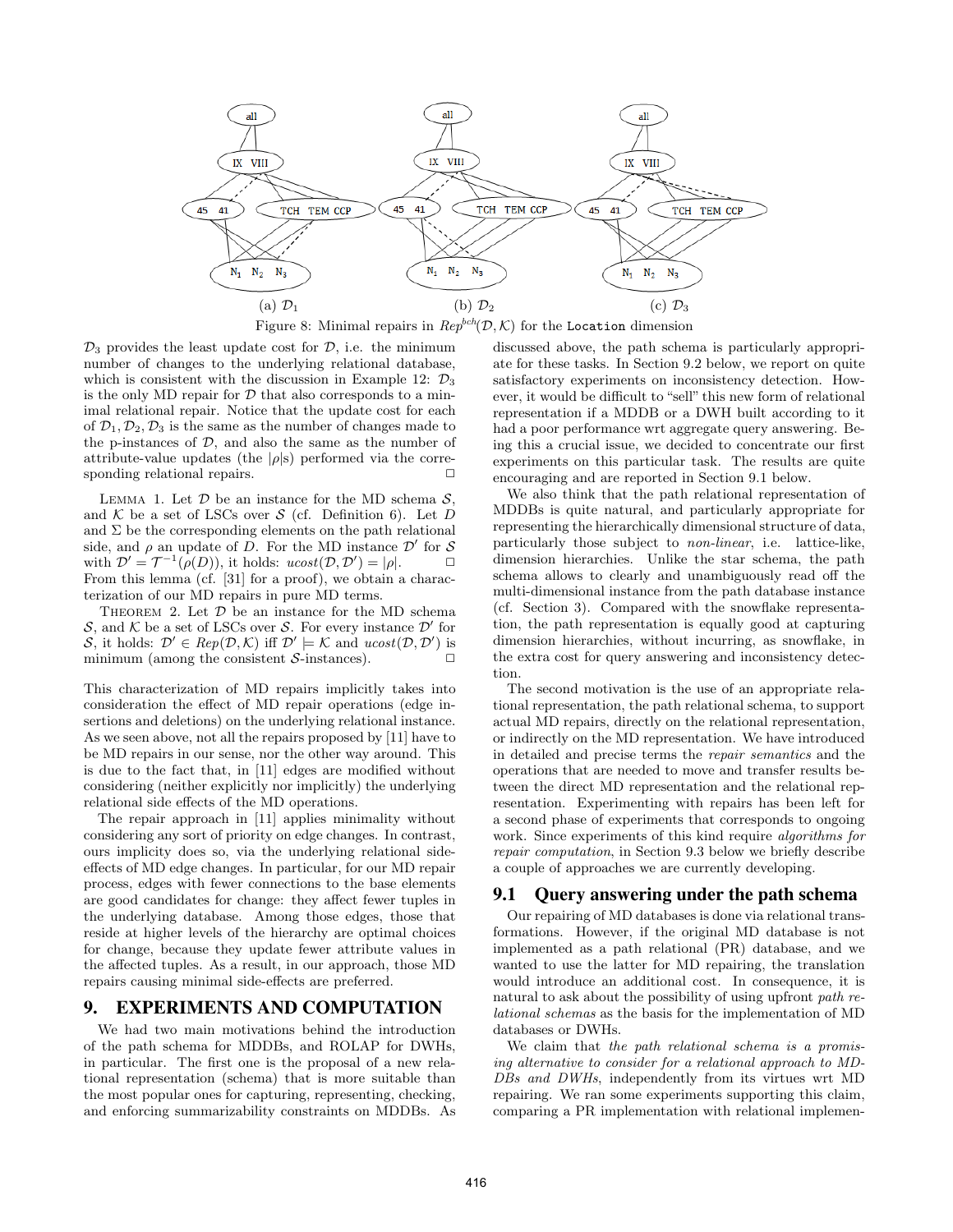

 $\mathcal{D}_3$  provides the least update cost for  $\mathcal{D}$ , i.e. the minimum number of changes to the underlying relational database, which is consistent with the discussion in Example 12:  $\mathcal{D}_3$ is the only MD repair for  $D$  that also corresponds to a minimal relational repair. Notice that the update cost for each of  $\mathcal{D}_1, \mathcal{D}_2, \mathcal{D}_3$  is the same as the number of changes made to the p-instances of  $D$ , and also the same as the number of attribute-value updates (the  $|\rho|$ s) performed via the corresponding relational repairs.  $\Box$ 

LEMMA 1. Let  $D$  be an instance for the MD schema  $S$ . and  $K$  be a set of LSCs over  $S$  (cf. Definition 6). Let  $D$ and  $\Sigma$  be the corresponding elements on the path relational side, and  $\rho$  an update of *D*. For the MD instance  $\mathcal{D}'$  for *S* with  $\mathcal{D}' = \mathcal{T}^{-1}(\rho(D))$ , it holds:  $ucost(\mathcal{D}, \mathcal{D}') = |\rho|$ . From this lemma (cf. [31] for a proof), we obtain a characterization of our MD repairs in pure MD terms.

THEOREM 2. Let  $D$  be an instance for the MD schema *S*, and *K* be a set of LSCs over *S*. For every instance *D ′* for S, it holds:  $\mathcal{D}' \in Rep(\mathcal{D}, \mathcal{K})$  iff  $\mathcal{D}' \models \mathcal{K}$  and  $ucost(\mathcal{D}, \mathcal{D}')$  is minimum (among the consistent  $S$ -instances).  $\Box$ 

This characterization of MD repairs implicitly takes into consideration the effect of MD repair operations (edge insertions and deletions) on the underlying relational instance. As we seen above, not all the repairs proposed by [11] have to be MD repairs in our sense, nor the other way around. This is due to the fact that, in [11] edges are modified without considering (neither explicitly nor implicitly) the underlying relational side effects of the MD operations.

The repair approach in [11] applies minimality without considering any sort of priority on edge changes. In contrast, ours implicity does so, via the underlying relational sideeffects of MD edge changes. In particular, for our MD repair process, edges with fewer connections to the base elements are good candidates for change: they affect fewer tuples in the underlying database. Among those edges, those that reside at higher levels of the hierarchy are optimal choices for change, because they update fewer attribute values in the affected tuples. As a result, in our approach, those MD repairs causing minimal side-effects are preferred.

### 9. EXPERIMENTS AND COMPUTATION

We had two main motivations behind the introduction of the path schema for MDDBs, and ROLAP for DWHs, in particular. The first one is the proposal of a new relational representation (schema) that is more suitable than the most popular ones for capturing, representing, checking, and enforcing summarizability constraints on MDDBs. As

discussed above, the path schema is particularly appropriate for these tasks. In Section 9.2 below, we report on quite satisfactory experiments on inconsistency detection. However, it would be difficult to "sell" this new form of relational representation if a MDDB or a DWH built according to it had a poor performance wrt aggregate query answering. Being this a crucial issue, we decided to concentrate our first experiments on this particular task. The results are quite encouraging and are reported in Section 9.1 below.

We also think that the path relational representation of MDDBs is quite natural, and particularly appropriate for representing the hierarchically dimensional structure of data, particularly those subject to *non-linear*, i.e. lattice-like, dimension hierarchies. Unlike the star schema, the path schema allows to clearly and unambiguously read off the multi-dimensional instance from the path database instance (cf. Section 3). Compared with the snowflake representation, the path representation is equally good at capturing dimension hierarchies, without incurring, as snowflake, in the extra cost for query answering and inconsistency detection.

The second motivation is the use of an appropriate relational representation, the path relational schema, to support actual MD repairs, directly on the relational representation, or indirectly on the MD representation. We have introduced in detailed and precise terms the *repair semantics* and the operations that are needed to move and transfer results between the direct MD representation and the relational representation. Experimenting with repairs has been left for a second phase of experiments that corresponds to ongoing work. Since experiments of this kind require *algorithms for repair computation*, in Section 9.3 below we briefly describe a couple of approaches we are currently developing.

### 9.1 Query answering under the path schema

Our repairing of MD databases is done via relational transformations. However, if the original MD database is not implemented as a path relational (PR) database, and we wanted to use the latter for MD repairing, the translation would introduce an additional cost. In consequence, it is natural to ask about the possibility of using upfront *path relational schemas* as the basis for the implementation of MD databases or DWHs.

We claim that *the path relational schema is a promising alternative to consider for a relational approach to MD-DBs and DWHs*, independently from its virtues wrt MD repairing. We ran some experiments supporting this claim, comparing a PR implementation with relational implemen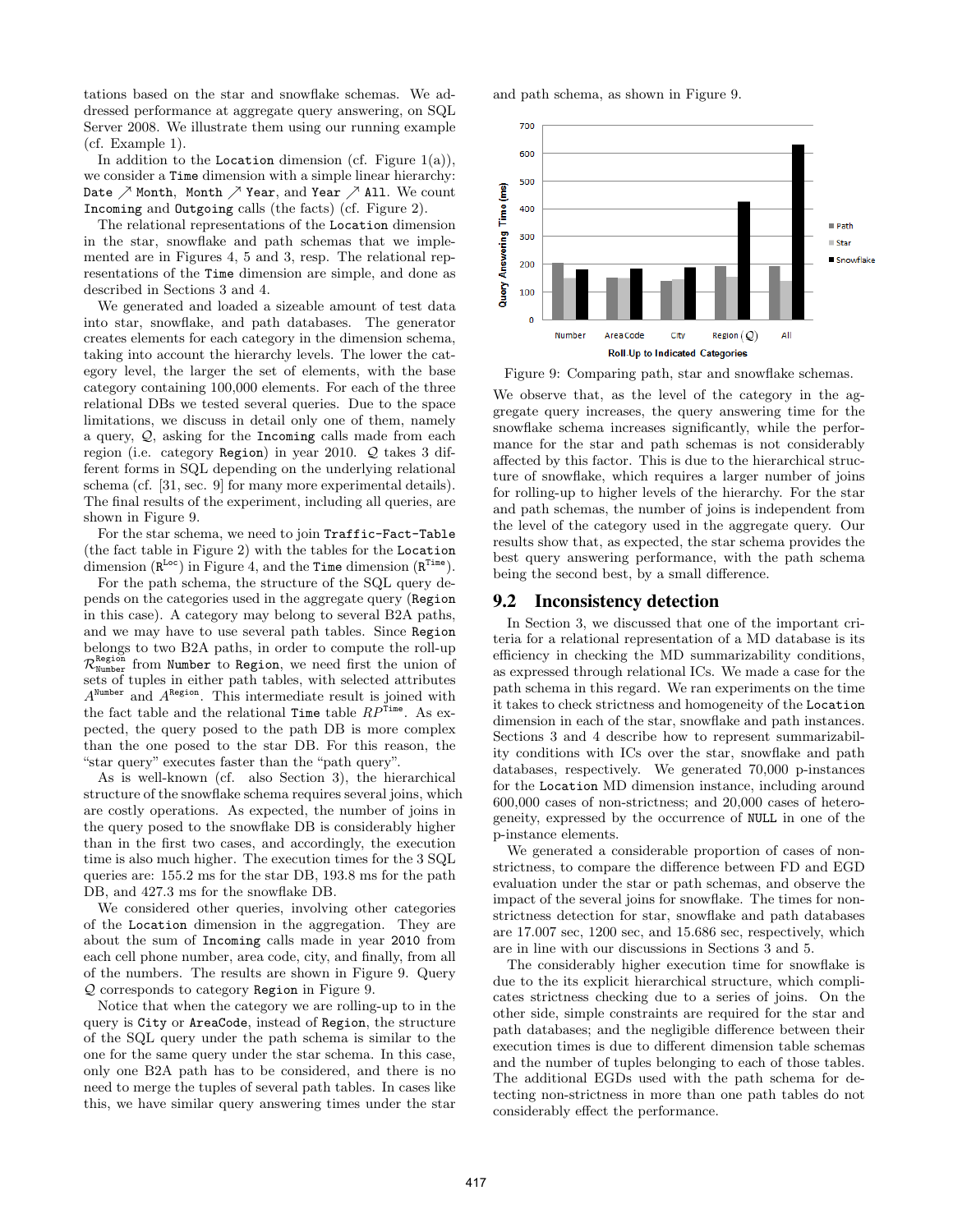tations based on the star and snowflake schemas. We addressed performance at aggregate query answering, on SQL Server 2008. We illustrate them using our running example (cf. Example 1).

In addition to the Location dimension (cf. Figure  $1(a)$ ), we consider a Time dimension with a simple linear hierarchy: Date *↗* Month, Month *↗* Year, and Year *↗* All. We count Incoming and Outgoing calls (the facts) (cf. Figure 2).

The relational representations of the Location dimension in the star, snowflake and path schemas that we implemented are in Figures 4, 5 and 3, resp. The relational representations of the Time dimension are simple, and done as described in Sections 3 and 4.

We generated and loaded a sizeable amount of test data into star, snowflake, and path databases. The generator creates elements for each category in the dimension schema, taking into account the hierarchy levels. The lower the category level, the larger the set of elements, with the base category containing 100,000 elements. For each of the three relational DBs we tested several queries. Due to the space limitations, we discuss in detail only one of them, namely a query, *Q*, asking for the Incoming calls made from each region (i.e. category Region) in year 2010. *Q* takes 3 different forms in SQL depending on the underlying relational schema (cf. [31, sec. 9] for many more experimental details). The final results of the experiment, including all queries, are shown in Figure 9.

For the star schema, we need to join Traffic-Fact-Table (the fact table in Figure 2) with the tables for the Location dimension  $(R^{Loc})$  in Figure 4, and the Time dimension  $(R^{Time})$ .

For the path schema, the structure of the SQL query depends on the categories used in the aggregate query (Region in this case). A category may belong to several B2A paths, and we may have to use several path tables. Since Region belongs to two B2A paths, in order to compute the roll-up  $\mathcal{R}^{\texttt{Region}}_{\texttt{Number}}$  from Number to Region, we need first the union of sets of tuples in either path tables, with selected attributes A<sup>Number</sup> and A<sup>Region</sup>. This intermediate result is joined with the fact table and the relational Time table  $RP^{\tilde{\text{Time}}}$ . As expected, the query posed to the path DB is more complex than the one posed to the star DB. For this reason, the "star query" executes faster than the "path query".

As is well-known (cf. also Section 3), the hierarchical structure of the snowflake schema requires several joins, which are costly operations. As expected, the number of joins in the query posed to the snowflake DB is considerably higher than in the first two cases, and accordingly, the execution time is also much higher. The execution times for the 3 SQL queries are: 155.2 ms for the star DB, 193.8 ms for the path DB, and 427.3 ms for the snowflake DB.

We considered other queries, involving other categories of the Location dimension in the aggregation. They are about the sum of Incoming calls made in year 2010 from each cell phone number, area code, city, and finally, from all of the numbers. The results are shown in Figure 9. Query *Q* corresponds to category Region in Figure 9.

Notice that when the category we are rolling-up to in the query is City or AreaCode, instead of Region, the structure of the SQL query under the path schema is similar to the one for the same query under the star schema. In this case, only one B2A path has to be considered, and there is no need to merge the tuples of several path tables. In cases like this, we have similar query answering times under the star and path schema, as shown in Figure 9.



Figure 9: Comparing path, star and snowflake schemas.

We observe that, as the level of the category in the aggregate query increases, the query answering time for the snowflake schema increases significantly, while the performance for the star and path schemas is not considerably affected by this factor. This is due to the hierarchical structure of snowflake, which requires a larger number of joins for rolling-up to higher levels of the hierarchy. For the star and path schemas, the number of joins is independent from the level of the category used in the aggregate query. Our results show that, as expected, the star schema provides the best query answering performance, with the path schema being the second best, by a small difference.

### 9.2 Inconsistency detection

In Section 3, we discussed that one of the important criteria for a relational representation of a MD database is its efficiency in checking the MD summarizability conditions, as expressed through relational ICs. We made a case for the path schema in this regard. We ran experiments on the time it takes to check strictness and homogeneity of the Location dimension in each of the star, snowflake and path instances. Sections 3 and 4 describe how to represent summarizability conditions with ICs over the star, snowflake and path databases, respectively. We generated 70,000 p-instances for the Location MD dimension instance, including around 600,000 cases of non-strictness; and 20,000 cases of heterogeneity, expressed by the occurrence of NULL in one of the p-instance elements.

We generated a considerable proportion of cases of nonstrictness, to compare the difference between FD and EGD evaluation under the star or path schemas, and observe the impact of the several joins for snowflake. The times for nonstrictness detection for star, snowflake and path databases are 17.007 sec, 1200 sec, and 15.686 sec, respectively, which are in line with our discussions in Sections 3 and 5.

The considerably higher execution time for snowflake is due to the its explicit hierarchical structure, which complicates strictness checking due to a series of joins. On the other side, simple constraints are required for the star and path databases; and the negligible difference between their execution times is due to different dimension table schemas and the number of tuples belonging to each of those tables. The additional EGDs used with the path schema for detecting non-strictness in more than one path tables do not considerably effect the performance.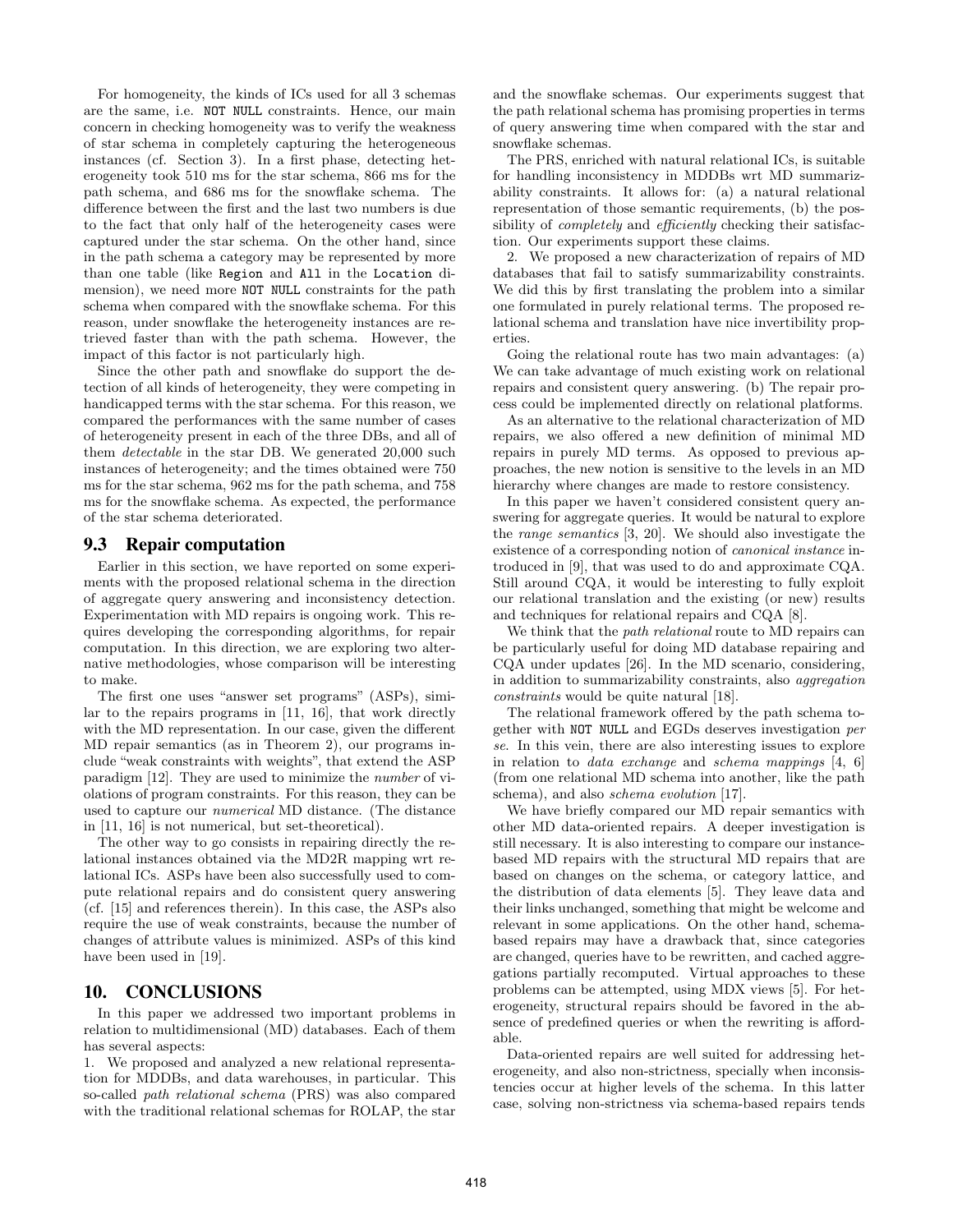For homogeneity, the kinds of ICs used for all 3 schemas are the same, i.e. NOT NULL constraints. Hence, our main concern in checking homogeneity was to verify the weakness of star schema in completely capturing the heterogeneous instances (cf. Section 3). In a first phase, detecting heterogeneity took 510 ms for the star schema, 866 ms for the path schema, and 686 ms for the snowflake schema. The difference between the first and the last two numbers is due to the fact that only half of the heterogeneity cases were captured under the star schema. On the other hand, since in the path schema a category may be represented by more than one table (like Region and All in the Location dimension), we need more NOT NULL constraints for the path schema when compared with the snowflake schema. For this reason, under snowflake the heterogeneity instances are retrieved faster than with the path schema. However, the impact of this factor is not particularly high.

Since the other path and snowflake do support the detection of all kinds of heterogeneity, they were competing in handicapped terms with the star schema. For this reason, we compared the performances with the same number of cases of heterogeneity present in each of the three DBs, and all of them *detectable* in the star DB. We generated 20,000 such instances of heterogeneity; and the times obtained were 750 ms for the star schema, 962 ms for the path schema, and 758 ms for the snowflake schema. As expected, the performance of the star schema deteriorated.

### 9.3 Repair computation

Earlier in this section, we have reported on some experiments with the proposed relational schema in the direction of aggregate query answering and inconsistency detection. Experimentation with MD repairs is ongoing work. This requires developing the corresponding algorithms, for repair computation. In this direction, we are exploring two alternative methodologies, whose comparison will be interesting to make.

The first one uses "answer set programs" (ASPs), similar to the repairs programs in [11, 16], that work directly with the MD representation. In our case, given the different MD repair semantics (as in Theorem 2), our programs include "weak constraints with weights", that extend the ASP paradigm [12]. They are used to minimize the *number* of violations of program constraints. For this reason, they can be used to capture our *numerical* MD distance. (The distance in [11, 16] is not numerical, but set-theoretical).

The other way to go consists in repairing directly the relational instances obtained via the MD2R mapping wrt relational ICs. ASPs have been also successfully used to compute relational repairs and do consistent query answering (cf. [15] and references therein). In this case, the ASPs also require the use of weak constraints, because the number of changes of attribute values is minimized. ASPs of this kind have been used in [19].

# 10. CONCLUSIONS

In this paper we addressed two important problems in relation to multidimensional (MD) databases. Each of them has several aspects:

1. We proposed and analyzed a new relational representation for MDDBs, and data warehouses, in particular. This so-called *path relational schema* (PRS) was also compared with the traditional relational schemas for ROLAP, the star and the snowflake schemas. Our experiments suggest that the path relational schema has promising properties in terms of query answering time when compared with the star and snowflake schemas.

The PRS, enriched with natural relational ICs, is suitable for handling inconsistency in MDDBs wrt MD summarizability constraints. It allows for: (a) a natural relational representation of those semantic requirements, (b) the possibility of *completely* and *efficiently* checking their satisfaction. Our experiments support these claims.

2. We proposed a new characterization of repairs of MD databases that fail to satisfy summarizability constraints. We did this by first translating the problem into a similar one formulated in purely relational terms. The proposed relational schema and translation have nice invertibility properties.

Going the relational route has two main advantages: (a) We can take advantage of much existing work on relational repairs and consistent query answering. (b) The repair process could be implemented directly on relational platforms.

As an alternative to the relational characterization of MD repairs, we also offered a new definition of minimal MD repairs in purely MD terms. As opposed to previous approaches, the new notion is sensitive to the levels in an MD hierarchy where changes are made to restore consistency.

In this paper we haven't considered consistent query answering for aggregate queries. It would be natural to explore the *range semantics* [3, 20]. We should also investigate the existence of a corresponding notion of *canonical instance* introduced in [9], that was used to do and approximate CQA. Still around CQA, it would be interesting to fully exploit our relational translation and the existing (or new) results and techniques for relational repairs and CQA [8].

We think that the *path relational* route to MD repairs can be particularly useful for doing MD database repairing and CQA under updates [26]. In the MD scenario, considering, in addition to summarizability constraints, also *aggregation constraints* would be quite natural [18].

The relational framework offered by the path schema together with NOT NULL and EGDs deserves investigation *per se*. In this vein, there are also interesting issues to explore in relation to *data exchange* and *schema mappings* [4, 6] (from one relational MD schema into another, like the path schema), and also *schema evolution* [17].

We have briefly compared our MD repair semantics with other MD data-oriented repairs. A deeper investigation is still necessary. It is also interesting to compare our instancebased MD repairs with the structural MD repairs that are based on changes on the schema, or category lattice, and the distribution of data elements [5]. They leave data and their links unchanged, something that might be welcome and relevant in some applications. On the other hand, schemabased repairs may have a drawback that, since categories are changed, queries have to be rewritten, and cached aggregations partially recomputed. Virtual approaches to these problems can be attempted, using MDX views [5]. For heterogeneity, structural repairs should be favored in the absence of predefined queries or when the rewriting is affordable.

Data-oriented repairs are well suited for addressing heterogeneity, and also non-strictness, specially when inconsistencies occur at higher levels of the schema. In this latter case, solving non-strictness via schema-based repairs tends